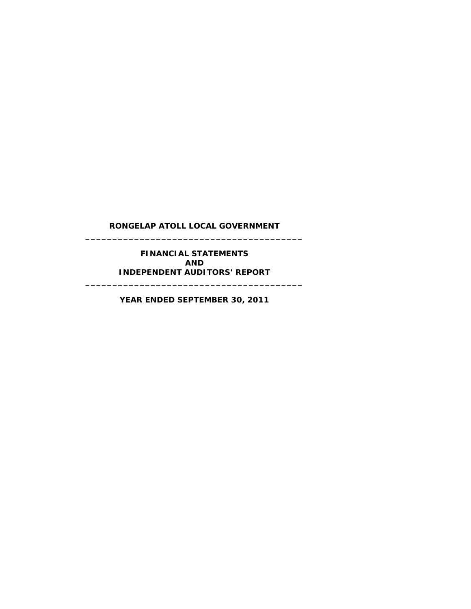**RONGELAP ATOLL LOCAL GOVERNMENT \_\_\_\_\_\_\_\_\_\_\_\_\_\_\_\_\_\_\_\_\_\_\_\_\_\_\_\_\_\_\_\_\_\_\_\_\_\_\_\_**

> **FINANCIAL STATEMENTS AND INDEPENDENT AUDITORS' REPORT**

**YEAR ENDED SEPTEMBER 30, 2011**

**\_\_\_\_\_\_\_\_\_\_\_\_\_\_\_\_\_\_\_\_\_\_\_\_\_\_\_\_\_\_\_\_\_\_\_\_\_\_\_\_**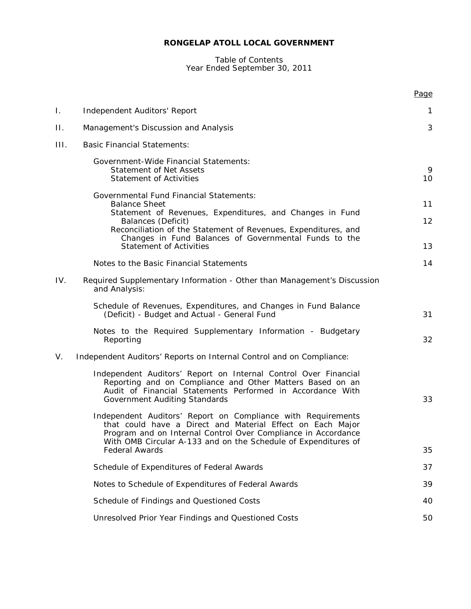# Table of Contents Year Ended September 30, 2011

|      |                                                                                                                                                                                                                                    | Page    |
|------|------------------------------------------------------------------------------------------------------------------------------------------------------------------------------------------------------------------------------------|---------|
| Ι.   | Independent Auditors' Report                                                                                                                                                                                                       | 1       |
| П.   | Management's Discussion and Analysis                                                                                                                                                                                               | 3       |
| III. | <b>Basic Financial Statements:</b>                                                                                                                                                                                                 |         |
|      | Government-Wide Financial Statements:<br><b>Statement of Net Assets</b><br><b>Statement of Activities</b>                                                                                                                          | 9<br>10 |
|      | <b>Governmental Fund Financial Statements:</b><br><b>Balance Sheet</b>                                                                                                                                                             | 11      |
|      | Statement of Revenues, Expenditures, and Changes in Fund<br>Balances (Deficit)                                                                                                                                                     | 12      |
|      | Reconciliation of the Statement of Revenues, Expenditures, and<br>Changes in Fund Balances of Governmental Funds to the<br><b>Statement of Activities</b>                                                                          | 13      |
|      | Notes to the Basic Financial Statements                                                                                                                                                                                            | 14      |
| IV.  | Required Supplementary Information - Other than Management's Discussion<br>and Analysis:                                                                                                                                           |         |
|      | Schedule of Revenues, Expenditures, and Changes in Fund Balance<br>(Deficit) - Budget and Actual - General Fund                                                                                                                    | 31      |
|      | Notes to the Required Supplementary Information - Budgetary<br>Reporting                                                                                                                                                           | 32      |
| V.   | Independent Auditors' Reports on Internal Control and on Compliance:                                                                                                                                                               |         |
|      | Independent Auditors' Report on Internal Control Over Financial<br>Reporting and on Compliance and Other Matters Based on an<br>Audit of Financial Statements Performed in Accordance With<br><b>Government Auditing Standards</b> | 33      |
|      | Independent Auditors' Report on Compliance with Requirements<br>that could have a Direct and Material Effect on Each Major<br>Program and on Internal Control Over Compliance in Accordance                                        |         |
|      | With OMB Circular A-133 and on the Schedule of Expenditures of<br><b>Federal Awards</b>                                                                                                                                            | 35      |
|      | Schedule of Expenditures of Federal Awards                                                                                                                                                                                         | 37      |
|      | Notes to Schedule of Expenditures of Federal Awards                                                                                                                                                                                | 39      |
|      | Schedule of Findings and Questioned Costs                                                                                                                                                                                          | 40      |
|      | Unresolved Prior Year Findings and Questioned Costs                                                                                                                                                                                | 50      |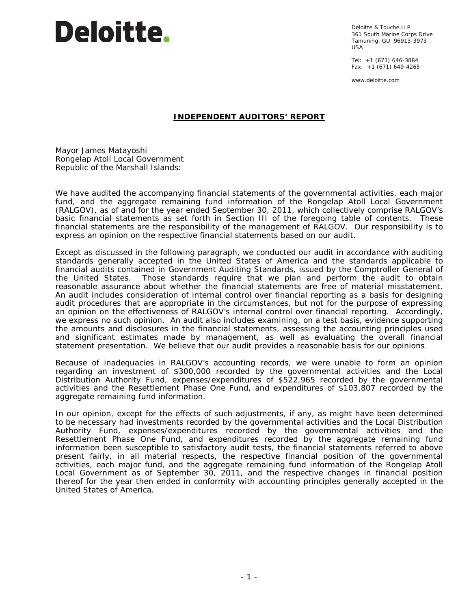# **Deloitte**.

Deloitte & Touche LLP 361 South Marine Corps Drive Tamuning, GU 96913-3973 USA

Tel: +1 (671) 646-3884 Fax: +1 (671) 649-4265

www.deloitte.com

# **INDEPENDENT AUDITORS' REPORT**

Mayor James Matayoshi Rongelap Atoll Local Government Republic of the Marshall Islands:

We have audited the accompanying financial statements of the governmental activities, each major fund, and the aggregate remaining fund information of the Rongelap Atoll Local Government (RALGOV), as of and for the year ended September 30, 2011, which collectively comprise RALGOV's basic financial statements as set forth in Section III of the foregoing table of contents. These financial statements are the responsibility of the management of RALGOV. Our responsibility is to express an opinion on the respective financial statements based on our audit.

Except as discussed in the following paragraph, we conducted our audit in accordance with auditing standards generally accepted in the United States of America and the standards applicable to financial audits contained in *Government Auditing Standards*, issued by the Comptroller General of the United States. Those standards require that we plan and perform the audit to obtain reasonable assurance about whether the financial statements are free of material misstatement. An audit includes consideration of internal control over financial reporting as a basis for designing audit procedures that are appropriate in the circumstances, but not for the purpose of expressing an opinion on the effectiveness of RALGOV's internal control over financial reporting. Accordingly, we express no such opinion. An audit also includes examining, on a test basis, evidence supporting the amounts and disclosures in the financial statements, assessing the accounting principles used and significant estimates made by management, as well as evaluating the overall financial statement presentation. We believe that our audit provides a reasonable basis for our opinions.

Because of inadequacies in RALGOV's accounting records, we were unable to form an opinion regarding an investment of \$300,000 recorded by the governmental activities and the Local Distribution Authority Fund, expenses/expenditures of \$522,965 recorded by the governmental activities and the Resettlement Phase One Fund, and expenditures of \$103,807 recorded by the aggregate remaining fund information.

In our opinion, except for the effects of such adjustments, if any, as might have been determined to be necessary had investments recorded by the governmental activities and the Local Distribution Authority Fund, expenses/expenditures recorded by the governmental activities and the Resettlement Phase One Fund, and expenditures recorded by the aggregate remaining fund information been susceptible to satisfactory audit tests, the financial statements referred to above present fairly, in all material respects, the respective financial position of the governmental activities, each major fund, and the aggregate remaining fund information of the Rongelap Atoll Local Government as of September 30, 2011, and the respective changes in financial position thereof for the year then ended in conformity with accounting principles generally accepted in the United States of America.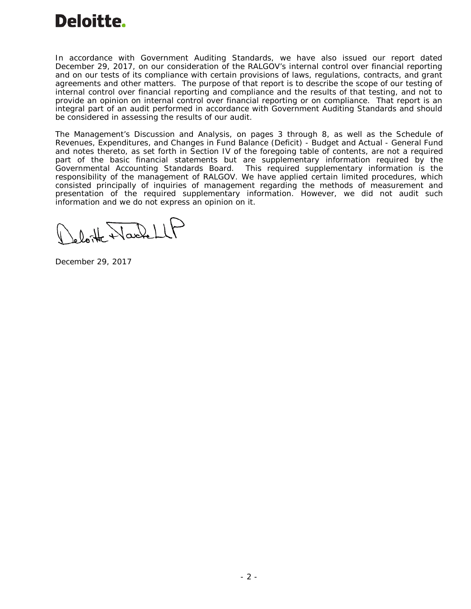

In accordance with *Government Auditing Standards*, we have also issued our report dated December 29, 2017, on our consideration of the RALGOV's internal control over financial reporting and on our tests of its compliance with certain provisions of laws, regulations, contracts, and grant agreements and other matters. The purpose of that report is to describe the scope of our testing of internal control over financial reporting and compliance and the results of that testing, and not to provide an opinion on internal control over financial reporting or on compliance. That report is an integral part of an audit performed in accordance with *Government Auditing Standards* and should be considered in assessing the results of our audit.

The Management's Discussion and Analysis, on pages 3 through 8, as well as the Schedule of Revenues, Expenditures, and Changes in Fund Balance (Deficit) - Budget and Actual - General Fund and notes thereto, as set forth in Section IV of the foregoing table of contents, are not a required part of the basic financial statements but are supplementary information required by the Governmental Accounting Standards Board. This required supplementary information is the responsibility of the management of RALGOV. We have applied certain limited procedures, which consisted principally of inquiries of management regarding the methods of measurement and presentation of the required supplementary information. However, we did not audit such information and we do not express an opinion on it.

loite Nachell

December 29, 2017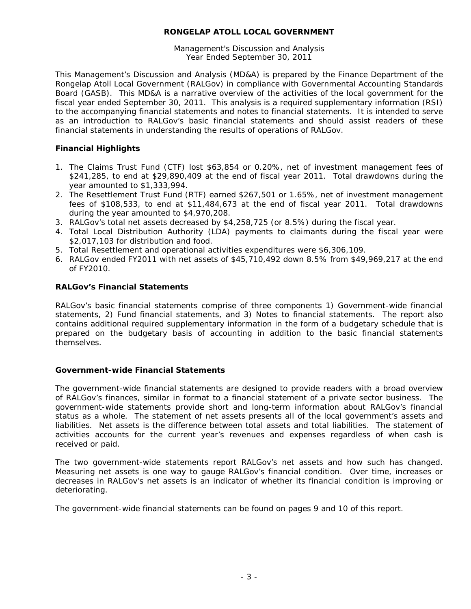Management's Discussion and Analysis Year Ended September 30, 2011

This Management's Discussion and Analysis (MD&A) is prepared by the Finance Department of the Rongelap Atoll Local Government (RALGov) in compliance with Governmental Accounting Standards Board (GASB). This MD&A is a narrative overview of the activities of the local government for the fiscal year ended September 30, 2011. This analysis is a required supplementary information (RSI) to the accompanying financial statements and notes to financial statements. It is intended to serve as an introduction to RALGov's basic financial statements and should assist readers of these financial statements in understanding the results of operations of RALGov.

# **Financial Highlights**

- 1. The Claims Trust Fund (CTF) lost \$63,854 or 0.20%, net of investment management fees of \$241,285, to end at \$29,890,409 at the end of fiscal year 2011. Total drawdowns during the year amounted to \$1,333,994.
- 2. The Resettlement Trust Fund (RTF) earned \$267,501 or 1.65%, net of investment management fees of \$108,533, to end at \$11,484,673 at the end of fiscal year 2011. Total drawdowns during the year amounted to \$4,970,208.
- 3. RALGov's total net assets decreased by \$4,258,725 (or 8.5%) during the fiscal year.
- 4. Total Local Distribution Authority (LDA) payments to claimants during the fiscal year were \$2,017,103 for distribution and food.
- 5. Total Resettlement and operational activities expenditures were \$6,306,109.
- 6. RALGov ended FY2011 with net assets of \$45,710,492 down 8.5% from \$49,969,217 at the end of FY2010.

# **RALGov's Financial Statements**

RALGov's basic financial statements comprise of three components 1) Government-wide financial statements, 2) Fund financial statements, and 3) Notes to financial statements. The report also contains additional required supplementary information in the form of a budgetary schedule that is prepared on the budgetary basis of accounting in addition to the basic financial statements themselves.

# **Government-wide Financial Statements**

The government-wide financial statements are designed to provide readers with a broad overview of RALGov's finances, similar in format to a financial statement of a private sector business. The government-wide statements provide short and long-term information about RALGov's financial status as a whole. The statement of net assets presents all of the local government's assets and liabilities. Net assets is the difference between total assets and total liabilities. The statement of activities accounts for the current year's revenues and expenses regardless of when cash is received or paid.

The two government-wide statements report RALGov's net assets and how such has changed. Measuring net assets is one way to gauge RALGov's financial condition. Over time, increases or decreases in RALGov's net assets is an indicator of whether its financial condition is improving or deteriorating.

The government-wide financial statements can be found on pages 9 and 10 of this report.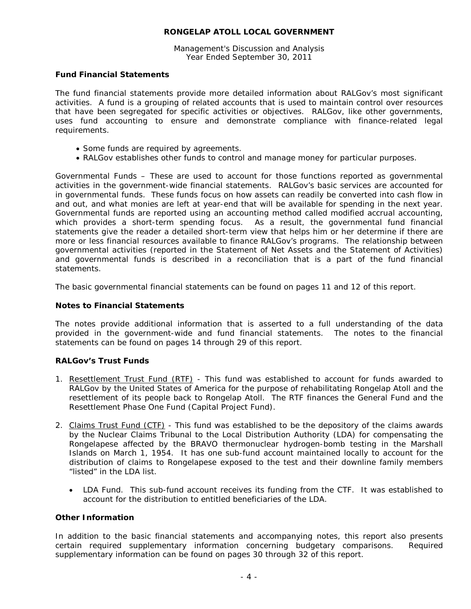Management's Discussion and Analysis Year Ended September 30, 2011

# **Fund Financial Statements**

The fund financial statements provide more detailed information about RALGov's most significant activities. A fund is a grouping of related accounts that is used to maintain control over resources that have been segregated for specific activities or objectives. RALGov, like other governments, uses fund accounting to ensure and demonstrate compliance with finance-related legal requirements.

- Some funds are required by agreements.
- RALGov establishes other funds to control and manage money for particular purposes.

Governmental Funds – These are used to account for those functions reported as governmental activities in the government-wide financial statements. RALGov's basic services are accounted for in governmental funds. These funds focus on how assets can readily be converted into cash flow in and out, and what monies are left at year-end that will be available for spending in the next year. Governmental funds are reported using an accounting method called modified accrual accounting, which provides a short-term spending focus. As a result, the governmental fund financial statements give the reader a detailed short-term view that helps him or her determine if there are more or less financial resources available to finance RALGov's programs. The relationship between governmental activities (reported in the Statement of Net Assets and the Statement of Activities) and governmental funds is described in a reconciliation that is a part of the fund financial statements.

The basic governmental financial statements can be found on pages 11 and 12 of this report.

#### **Notes to Financial Statements**

The notes provide additional information that is asserted to a full understanding of the data provided in the government-wide and fund financial statements. The notes to the financial statements can be found on pages 14 through 29 of this report.

#### **RALGov's Trust Funds**

- 1. Resettlement Trust Fund (RTF) This fund was established to account for funds awarded to RALGov by the United States of America for the purpose of rehabilitating Rongelap Atoll and the resettlement of its people back to Rongelap Atoll. The RTF finances the General Fund and the Resettlement Phase One Fund (Capital Project Fund).
- 2. Claims Trust Fund (CTF) This fund was established to be the depository of the claims awards by the Nuclear Claims Tribunal to the Local Distribution Authority (LDA) for compensating the Rongelapese affected by the BRAVO thermonuclear hydrogen-bomb testing in the Marshall Islands on March 1, 1954. It has one sub-fund account maintained locally to account for the distribution of claims to Rongelapese exposed to the test and their downline family members "listed" in the LDA list.
	- LDA Fund. This sub-fund account receives its funding from the CTF. It was established to account for the distribution to entitled beneficiaries of the LDA.

#### **Other Information**

In addition to the basic financial statements and accompanying notes, this report also presents certain required supplementary information concerning budgetary comparisons. Required supplementary information can be found on pages 30 through 32 of this report.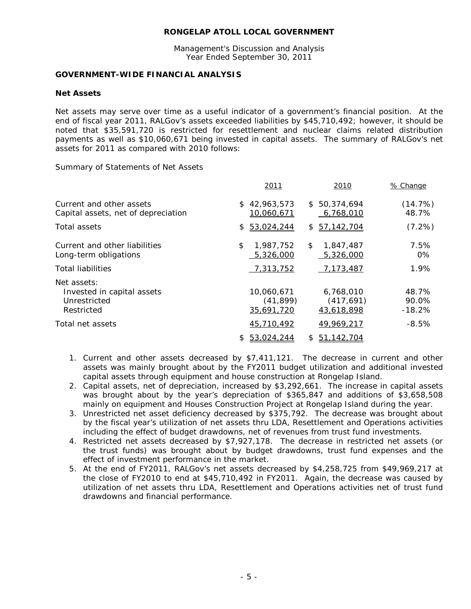Management's Discussion and Analysis Year Ended September 30, 2011

# **GOVERNMENT-WIDE FINANCIAL ANALYSIS**

# **Net Assets**

Net assets may serve over time as a useful indicator of a government's financial position. At the end of fiscal year 2011, RALGov's assets exceeded liabilities by \$45,710,492; however, it should be noted that \$35,591,720 is restricted for resettlement and nuclear claims related distribution payments as well as \$10,060,671 being invested in capital assets. The summary of RALGov's net assets for 2011 as compared with 2010 follows:

Summary of Statements of Net Assets

|                                                                         | 2011                                  | 2010                                  | % Change                   |
|-------------------------------------------------------------------------|---------------------------------------|---------------------------------------|----------------------------|
| Current and other assets<br>Capital assets, net of depreciation         | \$42,963,573<br>10,060,671            | \$50,374,694<br>6,768,010             | (14.7%)<br>48.7%           |
| Total assets                                                            | 53,024,244<br>S.                      | \$57,142,704                          | $(7.2\%)$                  |
| Current and other liabilities<br>Long-term obligations                  | 1,987,752<br>\$<br>5,326,000          | \$<br>1,847,487<br>5,326,000          | 7.5%<br>0%                 |
| <b>Total liabilities</b>                                                | <u>7,313,752</u>                      | 7,173,487                             | 1.9%                       |
| Net assets:<br>Invested in capital assets<br>Unrestricted<br>Restricted | 10,060,671<br>(41, 899)<br>35,691,720 | 6,768,010<br>(417, 691)<br>43,618,898 | 48.7%<br>90.0%<br>$-18.2%$ |
| Total net assets                                                        | 45,710,492                            | 49,969,217                            | $-8.5\%$                   |
|                                                                         | 53,024,244                            | 51.142.704<br>\$.                     |                            |

- 1. Current and other assets decreased by \$7,411,121. The decrease in current and other assets was mainly brought about by the FY2011 budget utilization and additional invested capital assets through equipment and house construction at Rongelap Island.
- 2. Capital assets, net of depreciation, increased by \$3,292,661. The increase in capital assets was brought about by the year's depreciation of \$365,847 and additions of \$3,658,508 mainly on equipment and Houses Construction Project at Rongelap Island during the year.
- 3. Unrestricted net asset deficiency decreased by \$375,792. The decrease was brought about by the fiscal year's utilization of net assets thru LDA, Resettlement and Operations activities including the effect of budget drawdowns, net of revenues from trust fund investments.
- 4. Restricted net assets decreased by \$7,927,178. The decrease in restricted net assets (or the trust funds) was brought about by budget drawdowns, trust fund expenses and the effect of investment performance in the market.
- 5. At the end of FY2011, RALGov's net assets decreased by \$4,258,725 from \$49,969,217 at the close of FY2010 to end at \$45,710,492 in FY2011. Again, the decrease was caused by utilization of net assets thru LDA, Resettlement and Operations activities net of trust fund drawdowns and financial performance.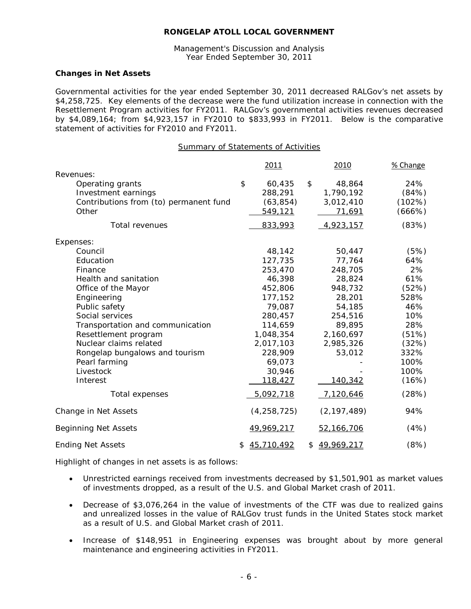Management's Discussion and Analysis Year Ended September 30, 2011

#### **Changes in Net Assets**

Governmental activities for the year ended September 30, 2011 decreased RALGov's net assets by \$4,258,725. Key elements of the decrease were the fund utilization increase in connection with the Resettlement Program activities for FY2011. RALGov's governmental activities revenues decreased by \$4,089,164; from \$4,923,157 in FY2010 to \$833,993 in FY2011. Below is the comparative statement of activities for FY2010 and FY2011.

#### Summary of Statements of Activities

|                                        |    | 2011          | 2010             | % Change  |
|----------------------------------------|----|---------------|------------------|-----------|
| Revenues:                              |    |               |                  |           |
| Operating grants                       | \$ | 60,435        | \$<br>48,864     | 24%       |
| Investment earnings                    |    | 288,291       | 1,790,192        | (84%)     |
| Contributions from (to) permanent fund |    | (63, 854)     | 3,012,410        | (102%)    |
| Other                                  |    | 549,121       | 71,691           | $(666\%)$ |
| <b>Total revenues</b>                  |    | 833,993       | 4,923,157        | (83%)     |
| Expenses:                              |    |               |                  |           |
| Council                                |    | 48,142        | 50,447           | (5%)      |
| Education                              |    | 127,735       | 77,764           | 64%       |
| Finance                                |    | 253,470       | 248,705          | 2%        |
| Health and sanitation                  |    | 46,398        | 28,824           | 61%       |
| Office of the Mayor                    |    | 452,806       | 948,732          | (52%)     |
| Engineering                            |    | 177,152       | 28,201           | 528%      |
| Public safety                          |    | 79,087        | 54,185           | 46%       |
| Social services                        |    | 280,457       | 254,516          | 10%       |
| Transportation and communication       |    | 114,659       | 89,895           | 28%       |
| Resettlement program                   |    | 1,048,354     | 2,160,697        | (51%)     |
| Nuclear claims related                 |    | 2,017,103     | 2,985,326        | (32%)     |
| Rongelap bungalows and tourism         |    | 228,909       | 53,012           | 332%      |
| Pearl farming                          |    | 69,073        |                  | 100%      |
| Livestock                              |    | 30,946        |                  | 100%      |
| Interest                               |    | 118,427       | 140,342          | (16%)     |
| Total expenses                         |    | 5,092,718     | 7,120,646        | (28%)     |
| Change in Net Assets                   |    | (4, 258, 725) | (2, 197, 489)    | 94%       |
| <b>Beginning Net Assets</b>            |    | 49,969,217    | 52,166,706       | (4%)      |
| <b>Ending Net Assets</b>               | \$ | 45,710,492    | \$<br>49,969,217 | (8%)      |

Highlight of changes in net assets is as follows:

- Unrestricted earnings received from investments decreased by \$1,501,901 as market values of investments dropped, as a result of the U.S. and Global Market crash of 2011.
- Decrease of \$3,076,264 in the value of investments of the CTF was due to realized gains and unrealized losses in the value of RALGov trust funds in the United States stock market as a result of U.S. and Global Market crash of 2011.
- Increase of \$148,951 in Engineering expenses was brought about by more general maintenance and engineering activities in FY2011.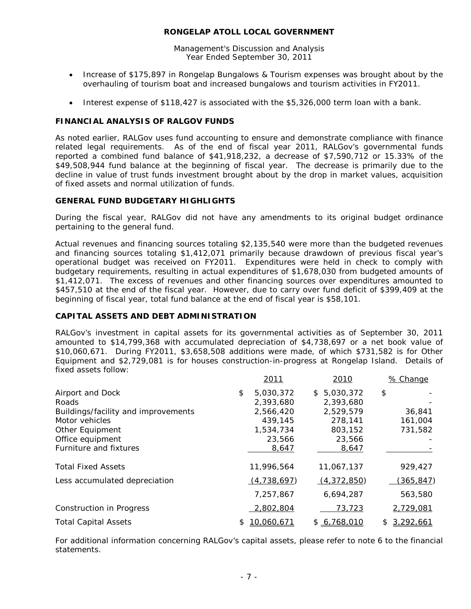Management's Discussion and Analysis Year Ended September 30, 2011

- Increase of \$175,897 in Rongelap Bungalows & Tourism expenses was brought about by the overhauling of tourism boat and increased bungalows and tourism activities in FY2011.
- Interest expense of \$118,427 is associated with the \$5,326,000 term loan with a bank.

# **FINANCIAL ANALYSIS OF RALGOV FUNDS**

As noted earlier, RALGov uses fund accounting to ensure and demonstrate compliance with finance related legal requirements. As of the end of fiscal year 2011, RALGov's governmental funds reported a combined fund balance of \$41,918,232, a decrease of \$7,590,712 or 15.33% of the \$49,508,944 fund balance at the beginning of fiscal year. The decrease is primarily due to the decline in value of trust funds investment brought about by the drop in market values, acquisition of fixed assets and normal utilization of funds.

# **GENERAL FUND BUDGETARY HIGHLIGHTS**

During the fiscal year, RALGov did not have any amendments to its original budget ordinance pertaining to the general fund.

Actual revenues and financing sources totaling \$2,135,540 were more than the budgeted revenues and financing sources totaling \$1,412,071 primarily because drawdown of previous fiscal year's operational budget was received on FY2011. Expenditures were held in check to comply with budgetary requirements, resulting in actual expenditures of \$1,678,030 from budgeted amounts of \$1,412,071. The excess of revenues and other financing sources over expenditures amounted to \$457,510 at the end of the fiscal year. However, due to carry over fund deficit of \$399,409 at the beginning of fiscal year, total fund balance at the end of fiscal year is \$58,101.

# **CAPITAL ASSETS AND DEBT ADMINISTRATION**

RALGov's investment in capital assets for its governmental activities as of September 30, 2011 amounted to \$14,799,368 with accumulated depreciation of \$4,738,697 or a net book value of \$10,060,671. During FY2011, \$3,658,508 additions were made, of which \$731,582 is for Other Equipment and \$2,729,081 is for houses construction-in-progress at Rongelap Island. Details of fixed assets follow:

|                                     | <u>2011</u>      | <u>2010</u>     | % Change        |
|-------------------------------------|------------------|-----------------|-----------------|
| Airport and Dock                    | \$<br>5,030,372  | 5,030,372<br>\$ | \$              |
| Roads                               | 2,393,680        | 2,393,680       |                 |
| Buildings/facility and improvements | 2,566,420        | 2.529.579       | 36,841          |
| Motor vehicles                      | 439,145          | 278,141         | 161.004         |
| Other Equipment                     | 1,534,734        | 803,152         | 731,582         |
| Office equipment                    | 23,566           | 23,566          |                 |
| Furniture and fixtures              | 8,647            | 8,647           |                 |
| <b>Total Fixed Assets</b>           | 11,996,564       | 11,067,137      | 929,427         |
| Less accumulated depreciation       | (4,738,697)      | (4,372,850)     | (365, 847)      |
|                                     | 7,257,867        | 6,694,287       | 563,580         |
| <b>Construction in Progress</b>     | 2,802,804        | 73,723          | 2,729,081       |
| <b>Total Capital Assets</b>         | \$<br>10,060,671 | \$6,768,010     | 3,292,661<br>\$ |

For additional information concerning RALGov's capital assets, please refer to note 6 to the financial statements.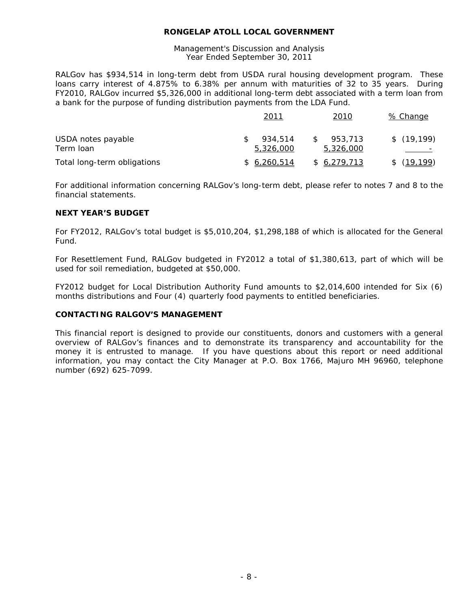Management's Discussion and Analysis Year Ended September 30, 2011

RALGov has \$934,514 in long-term debt from USDA rural housing development program. These loans carry interest of 4.875% to 6.38% per annum with maturities of 32 to 35 years. During FY2010, RALGov incurred \$5,326,000 in additional long-term debt associated with a term loan from a bank for the purpose of funding distribution payments from the LDA Fund.

|                                 | <u> 2011</u>         | <u> 2010</u>         | % Change     |
|---------------------------------|----------------------|----------------------|--------------|
| USDA notes payable<br>Term Ioan | 934.514<br>5,326,000 | 953,713<br>5,326,000 | \$(19, 199)  |
| Total long-term obligations     | \$6,260,514          | 6,279,713            | \$ (19, 199) |

For additional information concerning RALGov's long-term debt, please refer to notes 7 and 8 to the financial statements.

#### **NEXT YEAR'S BUDGET**

For FY2012, RALGov's total budget is \$5,010,204, \$1,298,188 of which is allocated for the General Fund.

For Resettlement Fund, RALGov budgeted in FY2012 a total of \$1,380,613, part of which will be used for soil remediation, budgeted at \$50,000.

FY2012 budget for Local Distribution Authority Fund amounts to \$2,014,600 intended for Six (6) months distributions and Four (4) quarterly food payments to entitled beneficiaries.

# **CONTACTING RALGOV'S MANAGEMENT**

This financial report is designed to provide our constituents, donors and customers with a general overview of RALGov's finances and to demonstrate its transparency and accountability for the money it is entrusted to manage. If you have questions about this report or need additional information, you may contact the City Manager at P.O. Box 1766, Majuro MH 96960, telephone number (692) 625-7099.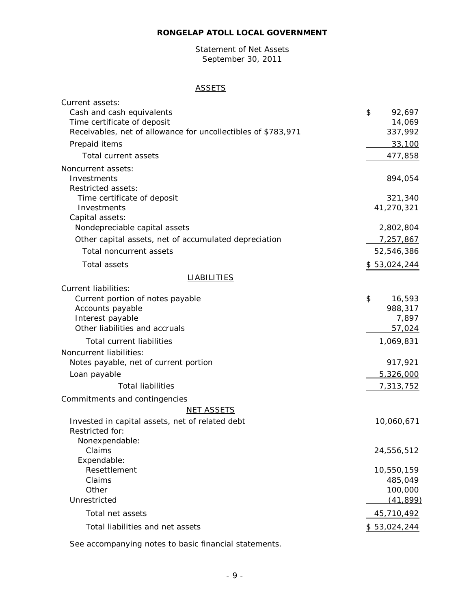#### Statement of Net Assets September 30, 2011

# **ASSETS**

| Current assets:                                               |                  |
|---------------------------------------------------------------|------------------|
| Cash and cash equivalents                                     | \$<br>92,697     |
| Time certificate of deposit                                   | 14,069           |
| Receivables, net of allowance for uncollectibles of \$783,971 | 337,992          |
| Prepaid items                                                 | 33,100           |
| Total current assets                                          | 477,858          |
| Noncurrent assets:                                            |                  |
| Investments                                                   | 894,054          |
| Restricted assets:                                            |                  |
| Time certificate of deposit                                   | 321,340          |
| Investments                                                   | 41,270,321       |
| Capital assets:                                               |                  |
| Nondepreciable capital assets                                 | 2,802,804        |
| Other capital assets, net of accumulated depreciation         | <u>7,257,867</u> |
| <b>Total noncurrent assets</b>                                | 52,546,386       |
| Total assets                                                  | \$53,024,244     |
| <b>LIABILITIES</b>                                            |                  |
| Current liabilities:                                          |                  |
| Current portion of notes payable                              | \$<br>16,593     |
| Accounts payable                                              | 988,317          |
| Interest payable                                              | 7,897            |
| Other liabilities and accruals                                | 57,024           |
| <b>Total current liabilities</b>                              | 1,069,831        |
| Noncurrent liabilities:                                       |                  |
| Notes payable, net of current portion                         | 917,921          |
| Loan payable                                                  | 5,326,000        |
| <b>Total liabilities</b>                                      | 7,313,752        |
| Commitments and contingencies                                 |                  |
| <b>NET ASSETS</b>                                             |                  |
| Invested in capital assets, net of related debt               | 10,060,671       |
| Restricted for:                                               |                  |
| Nonexpendable:                                                |                  |
| Claims                                                        | 24,556,512       |
| Expendable:                                                   |                  |
| Resettlement                                                  | 10,550,159       |
| Claims                                                        | 485,049          |
| Other                                                         | 100,000          |
| Unrestricted                                                  | (41, 899)        |
| Total net assets                                              | 45,710,492       |
| Total liabilities and net assets                              | \$53,024,244     |
|                                                               |                  |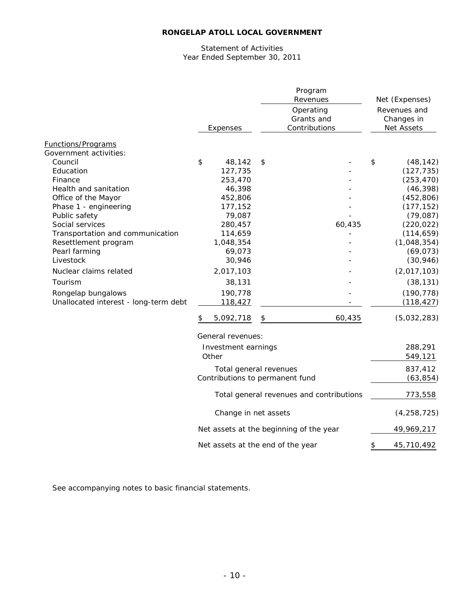# Statement of Activities Year Ended September 30, 2011

|                                       |                                         | Program<br>Revenues<br>Operating<br>Grants and | Net (Expenses)<br>Revenues and<br>Changes in |
|---------------------------------------|-----------------------------------------|------------------------------------------------|----------------------------------------------|
|                                       | Expenses                                | Contributions                                  | Net Assets                                   |
| <b>Functions/Programs</b>             |                                         |                                                |                                              |
| Government activities:                |                                         |                                                |                                              |
| Council                               | \$<br>48,142                            | \$                                             | \$<br>(48, 142)                              |
| Education                             | 127,735                                 |                                                | (127, 735)                                   |
| Finance                               | 253,470                                 |                                                | (253, 470)                                   |
| Health and sanitation                 | 46,398                                  |                                                | (46, 398)                                    |
| Office of the Mayor                   | 452,806                                 |                                                | (452, 806)                                   |
| Phase 1 - engineering                 | 177,152                                 |                                                | (177, 152)                                   |
| Public safety                         | 79,087                                  |                                                | (79, 087)                                    |
| Social services                       | 280,457                                 | 60,435                                         | (220, 022)                                   |
| Transportation and communication      | 114,659                                 |                                                | (114, 659)                                   |
| Resettlement program                  | 1,048,354                               |                                                | (1,048,354)                                  |
| Pearl farming                         | 69,073                                  |                                                | (69, 073)                                    |
| Livestock                             | 30,946                                  |                                                | (30, 946)                                    |
| Nuclear claims related                | 2,017,103                               |                                                | (2,017,103)                                  |
| Tourism                               | 38,131                                  |                                                | (38, 131)                                    |
| Rongelap bungalows                    | 190,778                                 |                                                | (190, 778)                                   |
| Unallocated interest - long-term debt | 118,427                                 |                                                | (118, 427)                                   |
|                                       | 5,092,718<br>\$                         | \$<br>60,435                                   | (5,032,283)                                  |
|                                       | General revenues:                       |                                                |                                              |
|                                       | Investment earnings                     |                                                | 288,291                                      |
|                                       | Other                                   |                                                | 549,121                                      |
|                                       |                                         |                                                |                                              |
|                                       |                                         | Total general revenues                         | 837,412                                      |
|                                       |                                         | Contributions to permanent fund                | (63, 854)                                    |
|                                       |                                         | Total general revenues and contributions       | 773,558                                      |
|                                       | Change in net assets                    | (4, 258, 725)                                  |                                              |
|                                       | Net assets at the beginning of the year | 49,969,217                                     |                                              |
|                                       |                                         | Net assets at the end of the year              | $\overline{v}$<br>45,710,492                 |
|                                       |                                         |                                                |                                              |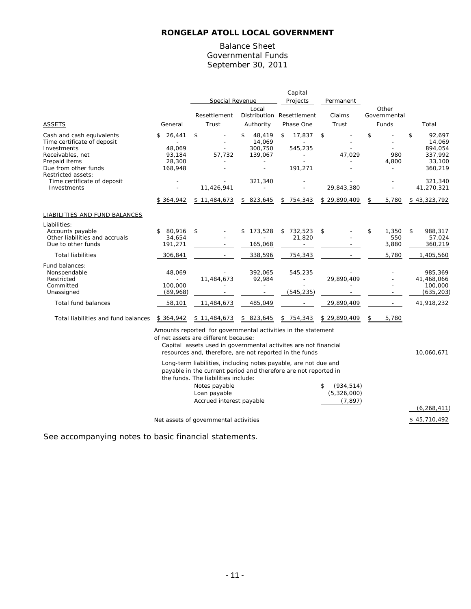# Balance Sheet Governmental Funds September 30, 2011

|                                                                                                                                                                                                          |                                                                                   | Special Revenue                                                                                                                                                                                                                        |                                                               | Capital<br>Projects                     | Permanent                                     |                                |                                                                                            |
|----------------------------------------------------------------------------------------------------------------------------------------------------------------------------------------------------------|-----------------------------------------------------------------------------------|----------------------------------------------------------------------------------------------------------------------------------------------------------------------------------------------------------------------------------------|---------------------------------------------------------------|-----------------------------------------|-----------------------------------------------|--------------------------------|--------------------------------------------------------------------------------------------|
| <b>ASSETS</b>                                                                                                                                                                                            | General                                                                           | Resettlement<br>Trust                                                                                                                                                                                                                  | Local<br>Authority                                            | Distribution Resettlement<br>Phase One  | Claims<br>Trust                               | Other<br>Governmental<br>Funds | Total                                                                                      |
| Cash and cash equivalents<br>Time certificate of deposit<br>Investments<br>Receivables, net<br>Prepaid items<br>Due from other funds<br>Restricted assets:<br>Time certificate of deposit<br>Investments | \$<br>26,441<br>$\overline{\phantom{a}}$<br>48,069<br>93,184<br>28,300<br>168,948 | \$<br>÷<br>57,732<br>11,426,941                                                                                                                                                                                                        | 48,419<br>\$<br>14.069<br>300,750<br>139,067<br>L,<br>321,340 | 17,837<br>\$<br>545,235<br>191,271      | \$<br>47,029<br>29,843,380                    | \$<br>980<br>4,800             | \$<br>92,697<br>14,069<br>894,054<br>337,992<br>33,100<br>360,219<br>321,340<br>41,270,321 |
|                                                                                                                                                                                                          | \$364,942                                                                         | \$11,484,673                                                                                                                                                                                                                           | \$823,645                                                     | \$754,343                               | \$29,890,409                                  | 5,780<br>\$                    | \$43,323,792                                                                               |
| LIABILITIES AND FUND BALANCES                                                                                                                                                                            |                                                                                   |                                                                                                                                                                                                                                        |                                                               |                                         |                                               |                                |                                                                                            |
| Liabilities:<br>Accounts payable<br>Other liabilities and accruals<br>Due to other funds                                                                                                                 | 80,916<br>\$<br>34,654<br>191,271                                                 | \$                                                                                                                                                                                                                                     | \$173,528<br>÷.<br>165,068                                    | \$732,523<br>21,820<br>$\sim$           | \$                                            | \$<br>1,350<br>550<br>3,880    | \$<br>988,317<br>57,024<br>360,219                                                         |
| <b>Total liabilities</b>                                                                                                                                                                                 | 306,841                                                                           |                                                                                                                                                                                                                                        | 338,596                                                       | 754,343                                 |                                               | 5,780                          | 1,405,560                                                                                  |
| Fund balances:<br>Nonspendable<br>Restricted<br>Committed<br>Unassigned                                                                                                                                  | 48,069<br>100,000<br>(89,968)                                                     | 11,484,673                                                                                                                                                                                                                             | 392,065<br>92,984<br>$\overline{\phantom{a}}$                 | 545,235<br>$\overline{a}$<br>(545, 235) | 29,890,409                                    |                                | 985,369<br>41,468,066<br>100,000<br>(635, 203)                                             |
| Total fund balances                                                                                                                                                                                      | 58,101                                                                            | 11,484,673                                                                                                                                                                                                                             | 485,049                                                       | $\sim$                                  | 29,890,409                                    |                                | 41,918,232                                                                                 |
| Total liabilities and fund balances                                                                                                                                                                      | \$364,942                                                                         | \$11,484,673<br>Amounts reported for governmental activities in the statement<br>of net assets are different because:                                                                                                                  | \$823,645                                                     | \$754,343                               | \$29,890,409                                  | \$<br>5,780                    |                                                                                            |
|                                                                                                                                                                                                          |                                                                                   | Capital assets used in governmental activites are not financial<br>resources and, therefore, are not reported in the funds                                                                                                             |                                                               |                                         |                                               |                                | 10,060,671                                                                                 |
|                                                                                                                                                                                                          |                                                                                   | Long-term liabilities, including notes payable, are not due and<br>payable in the current period and therefore are not reported in<br>the funds. The liabilities include:<br>Notes payable<br>Loan payable<br>Accrued interest payable |                                                               |                                         | (934, 514)<br>\$<br>(5, 326, 000)<br>(7, 897) |                                |                                                                                            |
|                                                                                                                                                                                                          |                                                                                   |                                                                                                                                                                                                                                        |                                                               |                                         |                                               |                                | (6, 268, 411)                                                                              |

Net assets of governmental activities  $$45,710,492$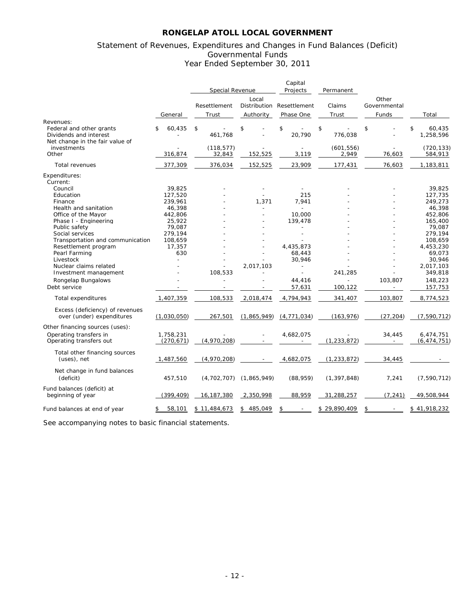# Statement of Revenues, Expenditures and Changes in Fund Balances (Deficit) Governmental Funds Year Ended September 30, 2011

|                                                                                                    |                   | Special Revenue      |                           | Capital<br>Projects      | Permanent           |              |                           |
|----------------------------------------------------------------------------------------------------|-------------------|----------------------|---------------------------|--------------------------|---------------------|--------------|---------------------------|
|                                                                                                    |                   |                      | Local                     |                          |                     | Other        |                           |
|                                                                                                    |                   | Resettlement         | Distribution Resettlement |                          | Claims              | Governmental |                           |
|                                                                                                    | General           | Trust                | Authority                 | Phase One                | Trust               | Funds        | Total                     |
| Revenues:<br>Federal and other grants<br>Dividends and interest<br>Net change in the fair value of | \$<br>60,435      | \$<br>461,768        | \$                        | \$<br>20,790             | \$<br>776,038       | \$           | \$<br>60,435<br>1,258,596 |
| investments<br>Other                                                                               | 316,874           | (118, 577)<br>32,843 | 152,525                   | 3,119                    | (601, 556)<br>2,949 | 76,603       | (720, 133)<br>584,913     |
| <b>Total revenues</b>                                                                              | 377,309           | 376,034              | 152,525                   | 23,909                   | 177,431             | 76,603       | 1,183,811                 |
| Expenditures:<br>Current:                                                                          |                   |                      |                           |                          |                     |              |                           |
| Council<br>Education                                                                               | 39,825<br>127,520 |                      |                           | 215                      |                     |              | 39,825<br>127,735         |
| Finance                                                                                            | 239,961           |                      | 1,371                     | 7,941                    |                     |              | 249,273                   |
| Health and sanitation                                                                              | 46,398            |                      |                           |                          |                     |              | 46,398                    |
| Office of the Mayor                                                                                | 442.806           |                      |                           | 10,000                   |                     |              | 452,806                   |
| Phase I - Engineering                                                                              | 25,922            |                      |                           | 139.478                  |                     |              | 165,400                   |
| Public safety                                                                                      | 79.087            |                      |                           |                          |                     |              | 79.087                    |
| Social services                                                                                    | 279,194           |                      |                           | $\overline{\phantom{a}}$ |                     |              | 279,194                   |
| Transportation and communication                                                                   | 108,659           |                      |                           |                          |                     |              | 108,659                   |
| Resettlement program                                                                               | 17,357            |                      |                           | 4,435,873                |                     |              | 4,453,230                 |
| Pearl Farming                                                                                      | 630               |                      |                           | 68,443                   |                     |              | 69,073                    |
| Livestock                                                                                          |                   |                      |                           | 30,946                   |                     |              | 30,946                    |
| Nuclear claims related                                                                             |                   |                      | 2,017,103                 |                          |                     |              | 2,017,103                 |
| Investment management                                                                              |                   | 108,533              |                           |                          | 241,285             |              | 349,818                   |
| Rongelap Bungalows                                                                                 |                   |                      |                           | 44,416                   |                     | 103,807      | 148,223                   |
| Debt service                                                                                       |                   |                      |                           | 57,631                   | 100,122             |              | 157,753                   |
|                                                                                                    |                   | 108,533              |                           | 4,794,943                |                     | 103,807      |                           |
| <b>Total expenditures</b>                                                                          | 1,407,359         |                      | 2,018,474                 |                          | 341,407             |              | 8,774,523                 |
| Excess (deficiency) of revenues<br>over (under) expenditures                                       | (1,030,050)       | 267,501              | (1,865,949)               | (4, 771, 034)            | (163, 976)          | (27, 204)    | (7, 590, 712)             |
| Other financing sources (uses):<br>Operating transfers in                                          | 1,758,231         |                      |                           | 4,682,075                |                     | 34,445       | 6,474,751                 |
| Operating transfers out                                                                            | (270, 671)        | (4,970,208)          |                           |                          | (1, 233, 872)       |              | (6, 474, 751)             |
| Total other financing sources<br>(uses), net                                                       | 1,487,560         | (4,970,208)          |                           | 4,682,075                | (1, 233, 872)       | 34,445       |                           |
| Net change in fund balances<br>(deficit)                                                           | 457,510           | (4, 702, 707)        | (1,865,949)               | (88, 959)                | (1, 397, 848)       | 7,241        | (7, 590, 712)             |
| Fund balances (deficit) at<br>beginning of year                                                    | (399, 409)        | 16, 187, 380         | 2,350,998                 | 88,959                   | 31,288,257          | (7, 241)     | 49,508,944                |
| Fund balances at end of year                                                                       | \$<br>58,101      | \$11,484,673         | \$485,049                 | \$                       | \$29,890,409        | \$           | \$41,918,232              |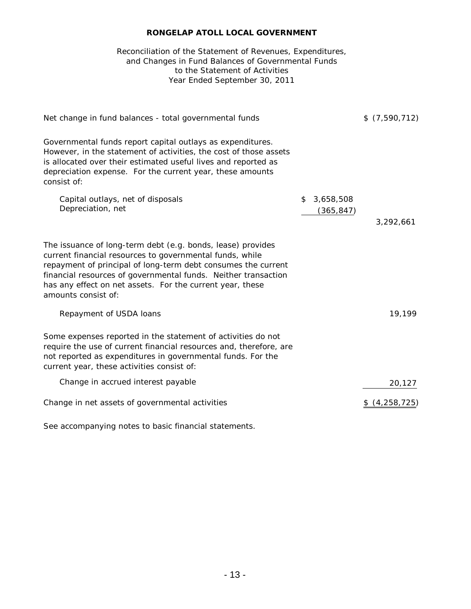# to the Statement of Activities Year Ended September 30, 2011 Reconciliation of the Statement of Revenues, Expenditures, and Changes in Fund Balances of Governmental Funds

| Net change in fund balances - total governmental funds                                                                                                                                                                                                                                                                                         |                 | \$(7,590,712) |
|------------------------------------------------------------------------------------------------------------------------------------------------------------------------------------------------------------------------------------------------------------------------------------------------------------------------------------------------|-----------------|---------------|
|                                                                                                                                                                                                                                                                                                                                                |                 |               |
| Governmental funds report capital outlays as expenditures.<br>However, in the statement of activities, the cost of those assets<br>is allocated over their estimated useful lives and reported as<br>depreciation expense. For the current year, these amounts<br>consist of:                                                                  |                 |               |
| Capital outlays, net of disposals                                                                                                                                                                                                                                                                                                              | \$<br>3,658,508 |               |
| Depreciation, net                                                                                                                                                                                                                                                                                                                              | (365, 847)      | 3,292,661     |
|                                                                                                                                                                                                                                                                                                                                                |                 |               |
| The issuance of long-term debt (e.g. bonds, lease) provides<br>current financial resources to governmental funds, while<br>repayment of principal of long-term debt consumes the current<br>financial resources of governmental funds. Neither transaction<br>has any effect on net assets. For the current year, these<br>amounts consist of: |                 |               |
| Repayment of USDA loans                                                                                                                                                                                                                                                                                                                        |                 | 19,199        |
| Some expenses reported in the statement of activities do not<br>require the use of current financial resources and, therefore, are<br>not reported as expenditures in governmental funds. For the<br>current year, these activities consist of:                                                                                                |                 |               |
| Change in accrued interest payable                                                                                                                                                                                                                                                                                                             |                 | 20,127        |
| Change in net assets of governmental activities                                                                                                                                                                                                                                                                                                |                 | (4, 258, 725) |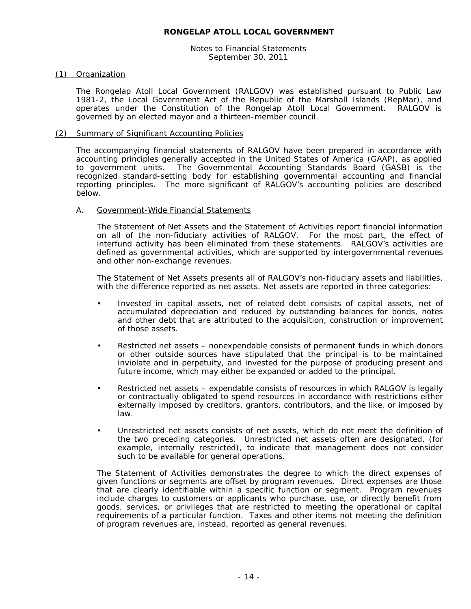Notes to Financial Statements September 30, 2011

#### (1) Organization

The Rongelap Atoll Local Government (RALGOV) was established pursuant to Public Law 1981-2, the Local Government Act of the Republic of the Marshall Islands (RepMar), and operates under the Constitution of the Rongelap Atoll Local Government. RALGOV is governed by an elected mayor and a thirteen-member council.

#### (2) Summary of Significant Accounting Policies

The accompanying financial statements of RALGOV have been prepared in accordance with accounting principles generally accepted in the United States of America (GAAP), as applied to government units. The Governmental Accounting Standards Board (GASB) is the recognized standard-setting body for establishing governmental accounting and financial reporting principles. The more significant of RALGOV's accounting policies are described below.

#### A. Government-Wide Financial Statements

The Statement of Net Assets and the Statement of Activities report financial information on all of the non-fiduciary activities of RALGOV. For the most part, the effect of interfund activity has been eliminated from these statements. RALGOV's activities are defined as governmental activities, which are supported by intergovernmental revenues and other non-exchange revenues.

The Statement of Net Assets presents all of RALGOV's non-fiduciary assets and liabilities, with the difference reported as net assets. Net assets are reported in three categories:

- Invested in capital assets, net of related debt consists of capital assets, net of accumulated depreciation and reduced by outstanding balances for bonds, notes and other debt that are attributed to the acquisition, construction or improvement of those assets.
- Restricted net assets nonexpendable consists of permanent funds in which donors or other outside sources have stipulated that the principal is to be maintained inviolate and in perpetuity, and invested for the purpose of producing present and future income, which may either be expanded or added to the principal.
- Restricted net assets expendable consists of resources in which RALGOV is legally or contractually obligated to spend resources in accordance with restrictions either externally imposed by creditors, grantors, contributors, and the like, or imposed by law.
- Unrestricted net assets consists of net assets, which do not meet the definition of the two preceding categories. Unrestricted net assets often are designated, (for example, internally restricted), to indicate that management does not consider such to be available for general operations.

The Statement of Activities demonstrates the degree to which the direct expenses of given functions or segments are offset by program revenues. Direct expenses are those that are clearly identifiable within a specific function or segment. Program revenues include charges to customers or applicants who purchase, use, or directly benefit from goods, services, or privileges that are restricted to meeting the operational or capital requirements of a particular function. Taxes and other items not meeting the definition of program revenues are, instead, reported as general revenues.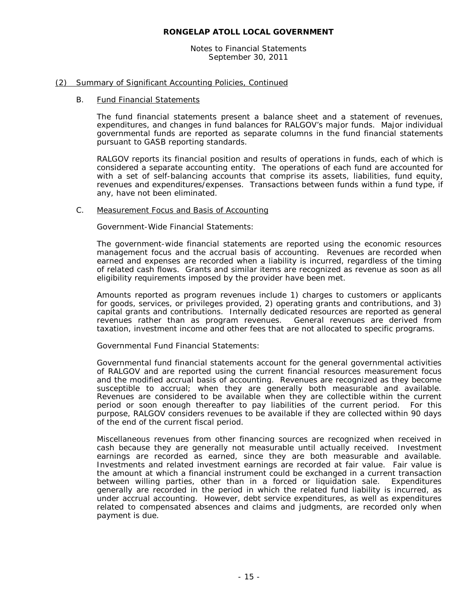Notes to Financial Statements September 30, 2011

#### (2) Summary of Significant Accounting Policies, Continued

#### B. Fund Financial Statements

The fund financial statements present a balance sheet and a statement of revenues, expenditures, and changes in fund balances for RALGOV's major funds. Major individual governmental funds are reported as separate columns in the fund financial statements pursuant to GASB reporting standards.

RALGOV reports its financial position and results of operations in funds, each of which is considered a separate accounting entity. The operations of each fund are accounted for with a set of self-balancing accounts that comprise its assets, liabilities, fund equity, revenues and expenditures/expenses. Transactions between funds within a fund type, if any, have not been eliminated.

#### C. Measurement Focus and Basis of Accounting

Government-Wide Financial Statements:

The government-wide financial statements are reported using the economic resources management focus and the accrual basis of accounting. Revenues are recorded when earned and expenses are recorded when a liability is incurred, regardless of the timing of related cash flows. Grants and similar items are recognized as revenue as soon as all eligibility requirements imposed by the provider have been met.

Amounts reported as program revenues include 1) charges to customers or applicants for goods, services, or privileges provided, 2) operating grants and contributions, and 3) capital grants and contributions. Internally dedicated resources are reported as general revenues rather than as program revenues. taxation, investment income and other fees that are not allocated to specific programs.

Governmental Fund Financial Statements:

Governmental fund financial statements account for the general governmental activities of RALGOV and are reported using the current financial resources measurement focus and the modified accrual basis of accounting. Revenues are recognized as they become susceptible to accrual; when they are generally both measurable and available. Revenues are considered to be available when they are collectible within the current period or soon enough thereafter to pay liabilities of the current period. For this purpose, RALGOV considers revenues to be available if they are collected within 90 days of the end of the current fiscal period.

Miscellaneous revenues from other financing sources are recognized when received in cash because they are generally not measurable until actually received. Investment earnings are recorded as earned, since they are both measurable and available. Investments and related investment earnings are recorded at fair value. Fair value is the amount at which a financial instrument could be exchanged in a current transaction between willing parties, other than in a forced or liquidation sale. Expenditures generally are recorded in the period in which the related fund liability is incurred, as under accrual accounting. However, debt service expenditures, as well as expenditures related to compensated absences and claims and judgments, are recorded only when payment is due.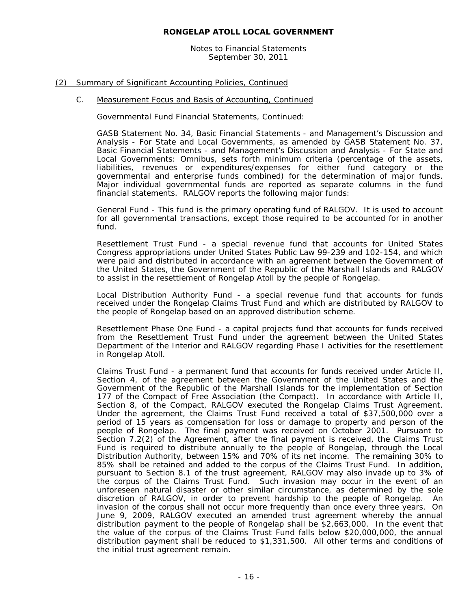Notes to Financial Statements September 30, 2011

#### (2) Summary of Significant Accounting Policies, Continued

#### C. Measurement Focus and Basis of Accounting, Continued

Governmental Fund Financial Statements, Continued:

GASB Statement No. 34, *Basic Financial Statements - and Management's Discussion and Analysis - For State and Local Governments*, as amended by GASB Statement No. 37, *Basic Financial Statements - and Management's Discussion and Analysis - For State and Local Governments*: *Omnibus*, sets forth minimum criteria (percentage of the assets, liabilities, revenues or expenditures/expenses for either fund category or the governmental and enterprise funds combined) for the determination of major funds. Major individual governmental funds are reported as separate columns in the fund financial statements. RALGOV reports the following major funds:

General Fund - This fund is the primary operating fund of RALGOV. It is used to account for all governmental transactions, except those required to be accounted for in another fund.

Resettlement Trust Fund - a special revenue fund that accounts for United States Congress appropriations under United States Public Law 99-239 and 102-154, and which were paid and distributed in accordance with an agreement between the Government of the United States, the Government of the Republic of the Marshall Islands and RALGOV to assist in the resettlement of Rongelap Atoll by the people of Rongelap.

Local Distribution Authority Fund - a special revenue fund that accounts for funds received under the Rongelap Claims Trust Fund and which are distributed by RALGOV to the people of Rongelap based on an approved distribution scheme.

Resettlement Phase One Fund - a capital projects fund that accounts for funds received from the Resettlement Trust Fund under the agreement between the United States Department of the Interior and RALGOV regarding Phase I activities for the resettlement in Rongelap Atoll.

Claims Trust Fund - a permanent fund that accounts for funds received under Article II, Section 4, of the agreement between the Government of the United States and the Government of the Republic of the Marshall Islands for the implementation of Section 177 of the Compact of Free Association (the Compact). In accordance with Article II, Section 8, of the Compact, RALGOV executed the Rongelap Claims Trust Agreement. Under the agreement, the Claims Trust Fund received a total of \$37,500,000 over a period of 15 years as compensation for loss or damage to property and person of the people of Rongelap. The final payment was received on October 2001. Pursuant to Section 7.2(2) of the Agreement, after the final payment is received, the Claims Trust Fund is required to distribute annually to the people of Rongelap, through the Local Distribution Authority, between 15% and 70% of its net income. The remaining 30% to 85% shall be retained and added to the corpus of the Claims Trust Fund. In addition, pursuant to Section 8.1 of the trust agreement, RALGOV may also invade up to 3% of the corpus of the Claims Trust Fund. Such invasion may occur in the event of an unforeseen natural disaster or other similar circumstance, as determined by the sole discretion of RALGOV, in order to prevent hardship to the people of Rongelap. An invasion of the corpus shall not occur more frequently than once every three years. On June 9, 2009, RALGOV executed an amended trust agreement whereby the annual distribution payment to the people of Rongelap shall be \$2,663,000. In the event that the value of the corpus of the Claims Trust Fund falls below \$20,000,000, the annual distribution payment shall be reduced to \$1,331,500. All other terms and conditions of the initial trust agreement remain.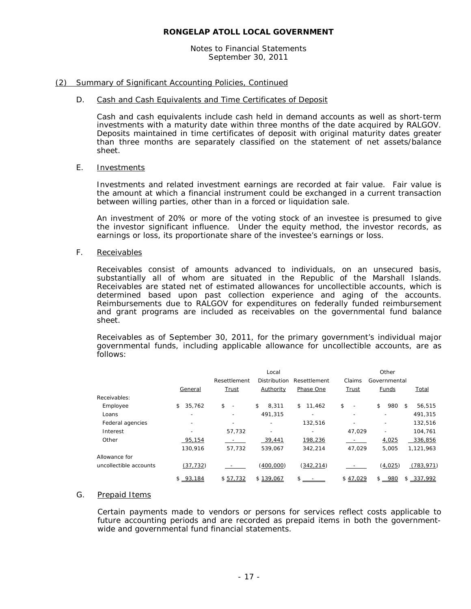Notes to Financial Statements September 30, 2011

#### (2) Summary of Significant Accounting Policies, Continued

#### D. Cash and Cash Equivalents and Time Certificates of Deposit

Cash and cash equivalents include cash held in demand accounts as well as short-term investments with a maturity date within three months of the date acquired by RALGOV. Deposits maintained in time certificates of deposit with original maturity dates greater than three months are separately classified on the statement of net assets/balance sheet.

#### E. Investments

Investments and related investment earnings are recorded at fair value. Fair value is the amount at which a financial instrument could be exchanged in a current transaction between willing parties, other than in a forced or liquidation sale.

An investment of 20% or more of the voting stock of an investee is presumed to give the investor significant influence. Under the equity method, the investor records, as earnings or loss, its proportionate share of the investee's earnings or loss.

#### F. Receivables

Receivables consist of amounts advanced to individuals, on an unsecured basis, substantially all of whom are situated in the Republic of the Marshall Islands. Receivables are stated net of estimated allowances for uncollectible accounts, which is determined based upon past collection experience and aging of the accounts. Reimbursements due to RALGOV for expenditures on federally funded reimbursement and grant programs are included as receivables on the governmental fund balance sheet.

Receivables as of September 30, 2011, for the primary government's individual major governmental funds, including applicable allowance for uncollectible accounts, are as follows:

|                        |              |              | Local                    |              |                                | Other                    |              |
|------------------------|--------------|--------------|--------------------------|--------------|--------------------------------|--------------------------|--------------|
|                        |              | Resettlement | <b>Distribution</b>      | Resettlement | Claims                         | Governmental             |              |
|                        | General      | Trust        | Authority                | Phase One    | Trust                          | Funds                    | Total        |
| Receivables:           |              |              |                          |              |                                |                          |              |
| Employee               | 35,762<br>\$ | \$<br>$\sim$ | \$<br>8,311              | \$11,462     | \$<br>$\overline{\phantom{a}}$ | \$<br>980                | 56,515<br>\$ |
| Loans                  |              |              | 491.315                  |              | $\overline{\phantom{0}}$       |                          | 491,315      |
| Federal agencies       |              |              | $\overline{\phantom{a}}$ | 132.516      | $\overline{\phantom{a}}$       | $\overline{\phantom{a}}$ | 132,516      |
| Interest               |              | 57,732       |                          |              | 47,029                         | $\overline{\phantom{0}}$ | 104,761      |
| Other                  | 95,154       |              | 39,441                   | 198,236      | <b>Service</b>                 | 4,025                    | 336,856      |
|                        | 130.916      | 57,732       | 539,067                  | 342,214      | 47.029                         | 5,005                    | 1,121,963    |
| Allowance for          |              |              |                          |              |                                |                          |              |
| uncollectible accounts | (37, 732)    |              | (400,000)                | (342, 214)   |                                | (4,025)                  | (783, 971)   |
|                        | $$ -93,184$  | \$57,732     | \$139,067                | \$           | \$47,029                       | \$ 980                   | \$337.992    |

# G. Prepaid Items

Certain payments made to vendors or persons for services reflect costs applicable to future accounting periods and are recorded as prepaid items in both the governmentwide and governmental fund financial statements.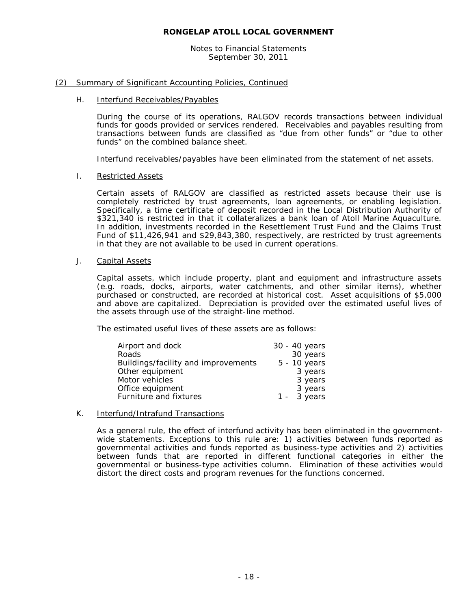Notes to Financial Statements September 30, 2011

#### (2) Summary of Significant Accounting Policies, Continued

#### H. Interfund Receivables/Payables

During the course of its operations, RALGOV records transactions between individual funds for goods provided or services rendered. Receivables and payables resulting from transactions between funds are classified as "due from other funds" or "due to other funds" on the combined balance sheet.

Interfund receivables/payables have been eliminated from the statement of net assets.

#### I. Restricted Assets

Certain assets of RALGOV are classified as restricted assets because their use is completely restricted by trust agreements, loan agreements, or enabling legislation. Specifically, a time certificate of deposit recorded in the Local Distribution Authority of \$321,340 is restricted in that it collateralizes a bank loan of Atoll Marine Aquaculture. In addition, investments recorded in the Resettlement Trust Fund and the Claims Trust Fund of \$11,426,941 and \$29,843,380, respectively, are restricted by trust agreements in that they are not available to be used in current operations.

#### J. Capital Assets

Capital assets, which include property, plant and equipment and infrastructure assets (e.g. roads, docks, airports, water catchments, and other similar items), whether purchased or constructed, are recorded at historical cost. Asset acquisitions of \$5,000 and above are capitalized. Depreciation is provided over the estimated useful lives of the assets through use of the straight-line method.

The estimated useful lives of these assets are as follows:

| Airport and dock                    | 30 - 40 years |
|-------------------------------------|---------------|
| Roads                               | 30 years      |
| Buildings/facility and improvements | 5 - 10 years  |
| Other equipment                     | 3 years       |
| Motor vehicles                      | 3 years       |
| Office equipment                    | 3 years       |
| Furniture and fixtures              | $1 - 3$ years |

#### K. Interfund/Intrafund Transactions

As a general rule, the effect of interfund activity has been eliminated in the governmentwide statements. Exceptions to this rule are: 1) activities between funds reported as governmental activities and funds reported as business-type activities and 2) activities between funds that are reported in different functional categories in either the governmental or business-type activities column. Elimination of these activities would distort the direct costs and program revenues for the functions concerned.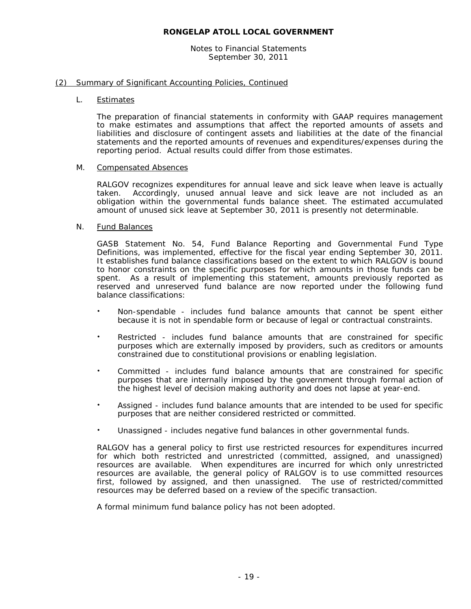Notes to Financial Statements September 30, 2011

#### (2) Summary of Significant Accounting Policies, Continued

#### L. Estimates

The preparation of financial statements in conformity with GAAP requires management to make estimates and assumptions that affect the reported amounts of assets and liabilities and disclosure of contingent assets and liabilities at the date of the financial statements and the reported amounts of revenues and expenditures/expenses during the reporting period. Actual results could differ from those estimates.

#### M. Compensated Absences

RALGOV recognizes expenditures for annual leave and sick leave when leave is actually taken. Accordingly, unused annual leave and sick leave are not included as an obligation within the governmental funds balance sheet. The estimated accumulated amount of unused sick leave at September 30, 2011 is presently not determinable.

#### N. Fund Balances

GASB Statement No. 54, *Fund Balance Reporting and Governmental Fund Type Definitions*, was implemented, effective for the fiscal year ending September 30, 2011. It establishes fund balance classifications based on the extent to which RALGOV is bound to honor constraints on the specific purposes for which amounts in those funds can be spent. As a result of implementing this statement, amounts previously reported as reserved and unreserved fund balance are now reported under the following fund balance classifications:

- Non-spendable includes fund balance amounts that cannot be spent either because it is not in spendable form or because of legal or contractual constraints.
- Restricted includes fund balance amounts that are constrained for specific purposes which are externally imposed by providers, such as creditors or amounts constrained due to constitutional provisions or enabling legislation.
- Committed includes fund balance amounts that are constrained for specific purposes that are internally imposed by the government through formal action of the highest level of decision making authority and does not lapse at year-end.
- Assigned includes fund balance amounts that are intended to be used for specific purposes that are neither considered restricted or committed.
- Unassigned includes negative fund balances in other governmental funds.

RALGOV has a general policy to first use restricted resources for expenditures incurred for which both restricted and unrestricted (committed, assigned, and unassigned) resources are available. When expenditures are incurred for which only unrestricted resources are available, the general policy of RALGOV is to use committed resources first, followed by assigned, and then unassigned. The use of restricted/committed resources may be deferred based on a review of the specific transaction.

A formal minimum fund balance policy has not been adopted.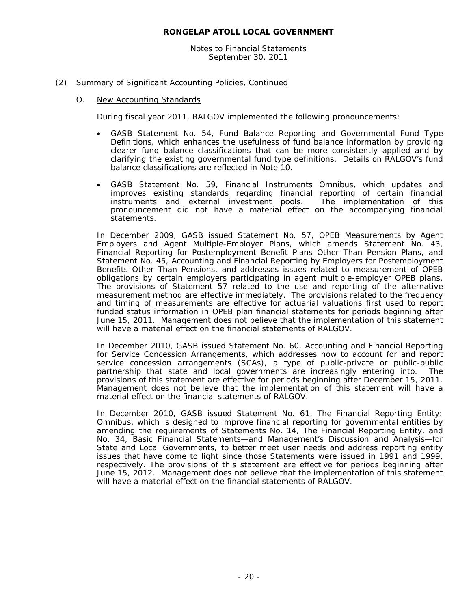Notes to Financial Statements September 30, 2011

#### (2) Summary of Significant Accounting Policies, Continued

#### O. New Accounting Standards

During fiscal year 2011, RALGOV implemented the following pronouncements:

- GASB Statement No. 54, *Fund Balance Reporting and Governmental Fund Type Definitions*, which enhances the usefulness of fund balance information by providing clearer fund balance classifications that can be more consistently applied and by clarifying the existing governmental fund type definitions. Details on RALGOV's fund balance classifications are reflected in Note 10.
- GASB Statement No. 59, *Financial Instruments Omnibus*, which updates and improves existing standards regarding financial reporting of certain financial instruments and external investment pools. pronouncement did not have a material effect on the accompanying financial statements.

In December 2009, GASB issued Statement No. 57, *OPEB Measurements by Agent Employers and Agent Multiple-Employer Plans*, which amends Statement No. 43, *Financial Reporting for Postemployment Benefit Plans Other Than Pension Plans,* and Statement No. 45, *Accounting and Financial Reporting by Employers for Postemployment Benefits Other Than Pensions*, and addresses issues related to measurement of OPEB obligations by certain employers participating in agent multiple-employer OPEB plans. The provisions of Statement 57 related to the use and reporting of the alternative measurement method are effective immediately. The provisions related to the frequency and timing of measurements are effective for actuarial valuations first used to report funded status information in OPEB plan financial statements for periods beginning after June 15, 2011. Management does not believe that the implementation of this statement will have a material effect on the financial statements of RALGOV.

In December 2010, GASB issued Statement No. 60, *Accounting and Financial Reporting for Service Concession Arrangements,* which addresses how to account for and report service concession arrangements (SCAs), a type of public-private or public-public partnership that state and local governments are increasingly entering into. The provisions of this statement are effective for periods beginning after December 15, 2011. Management does not believe that the implementation of this statement will have a material effect on the financial statements of RALGOV.

In December 2010, GASB issued Statement No. 61, *The Financial Reporting Entity: Omnibus,* which is designed to improve financial reporting for governmental entities by amending the requirements of Statements No. 14, *The Financial Reporting Entity, and No. 34, Basic Financial Statements—and Management's Discussion and Analysis—for State and Local Governments,* to better meet user needs and address reporting entity issues that have come to light since those Statements were issued in 1991 and 1999, respectively. The provisions of this statement are effective for periods beginning after June 15, 2012. Management does not believe that the implementation of this statement will have a material effect on the financial statements of RALGOV.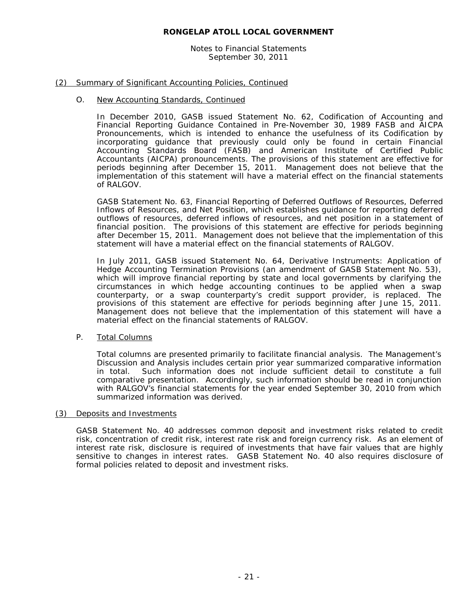Notes to Financial Statements September 30, 2011

#### (2) Summary of Significant Accounting Policies, Continued

#### O. New Accounting Standards, Continued

In December 2010, GASB issued Statement No. 62, *Codification of Accounting and Financial Reporting Guidance Contained in Pre-November 30, 1989 FASB and AICPA Pronouncements*, which is intended to enhance the usefulness of its Codification by incorporating guidance that previously could only be found in certain Financial Accounting Standards Board (FASB) and American Institute of Certified Public Accountants (AICPA) pronouncements. The provisions of this statement are effective for periods beginning after December 15, 2011. Management does not believe that the implementation of this statement will have a material effect on the financial statements of RALGOV.

GASB Statement No. 63, *Financial Reporting of Deferred Outflows of Resources, Deferred Inflows of Resources, and Net Position*, which establishes guidance for reporting deferred outflows of resources, deferred inflows of resources, and net position in a statement of financial position. The provisions of this statement are effective for periods beginning after December 15, 2011. Management does not believe that the implementation of this statement will have a material effect on the financial statements of RALGOV.

In July 2011, GASB issued Statement No. 64, *Derivative Instruments: Application of Hedge Accounting Termination Provisions* (an amendment of GASB Statement No. 53), which will improve financial reporting by state and local governments by clarifying the circumstances in which hedge accounting continues to be applied when a swap counterparty, or a swap counterparty's credit support provider, is replaced. The provisions of this statement are effective for periods beginning after June 15, 2011. Management does not believe that the implementation of this statement will have a material effect on the financial statements of RALGOV.

#### P. Total Columns

Total columns are presented primarily to facilitate financial analysis. The Management's Discussion and Analysis includes certain prior year summarized comparative information in total. Such information does not include sufficient detail to constitute a full comparative presentation. Accordingly, such information should be read in conjunction with RALGOV's financial statements for the year ended September 30, 2010 from which summarized information was derived.

#### (3) Deposits and Investments

GASB Statement No. 40 addresses common deposit and investment risks related to credit risk, concentration of credit risk, interest rate risk and foreign currency risk. As an element of interest rate risk, disclosure is required of investments that have fair values that are highly sensitive to changes in interest rates. GASB Statement No. 40 also requires disclosure of formal policies related to deposit and investment risks.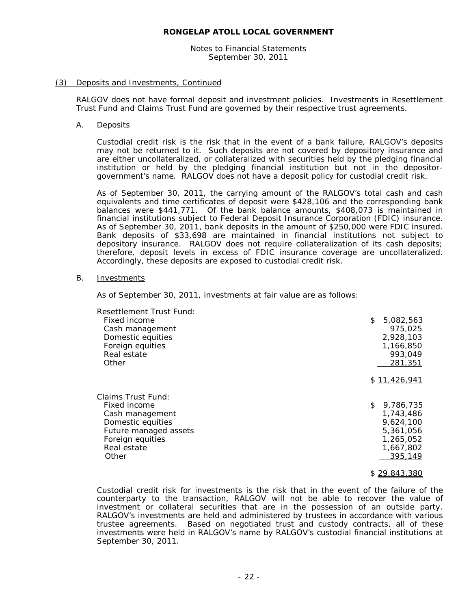Notes to Financial Statements September 30, 2011

#### (3) Deposits and Investments, Continued

RALGOV does not have formal deposit and investment policies. Investments in Resettlement Trust Fund and Claims Trust Fund are governed by their respective trust agreements.

#### A. Deposits

Custodial credit risk is the risk that in the event of a bank failure, RALGOV's deposits may not be returned to it. Such deposits are not covered by depository insurance and are either uncollateralized, or collateralized with securities held by the pledging financial institution or held by the pledging financial institution but not in the depositorgovernment's name. RALGOV does not have a deposit policy for custodial credit risk.

As of September 30, 2011, the carrying amount of the RALGOV's total cash and cash equivalents and time certificates of deposit were \$428,106 and the corresponding bank balances were \$441,771. Of the bank balance amounts, \$408,073 is maintained in financial institutions subject to Federal Deposit Insurance Corporation (FDIC) insurance. As of September 30, 2011, bank deposits in the amount of \$250,000 were FDIC insured. Bank deposits of \$33,698 are maintained in financial institutions not subject to depository insurance. RALGOV does not require collateralization of its cash deposits; therefore, deposit levels in excess of FDIC insurance coverage are uncollateralized. Accordingly, these deposits are exposed to custodial credit risk.

#### B. Investments

As of September 30, 2011, investments at fair value are as follows:

| Resettlement Trust Fund:                                                                         |                                                                            |
|--------------------------------------------------------------------------------------------------|----------------------------------------------------------------------------|
| Fixed income<br>Cash management<br>Domestic equities<br>Foreign equities<br>Real estate<br>Other | 5,082,563<br>\$<br>975,025<br>2,928,103<br>1,166,850<br>993,049<br>281,351 |
|                                                                                                  | \$11,426,941                                                               |
| Claims Trust Fund:                                                                               |                                                                            |
| Fixed income                                                                                     | \$9,786,735                                                                |
| Cash management                                                                                  | 1,743,486                                                                  |
| Domestic equities                                                                                | 9,624,100                                                                  |
| Future managed assets                                                                            | 5,361,056                                                                  |
| Foreign equities                                                                                 | 1,265,052                                                                  |
| Real estate                                                                                      | 1,667,802                                                                  |
| Other                                                                                            | 395,149                                                                    |
|                                                                                                  | \$29,843,380                                                               |

Custodial credit risk for investments is the risk that in the event of the failure of the counterparty to the transaction, RALGOV will not be able to recover the value of investment or collateral securities that are in the possession of an outside party. RALGOV's investments are held and administered by trustees in accordance with various trustee agreements. Based on negotiated trust and custody contracts, all of these investments were held in RALGOV's name by RALGOV's custodial financial institutions at September 30, 2011.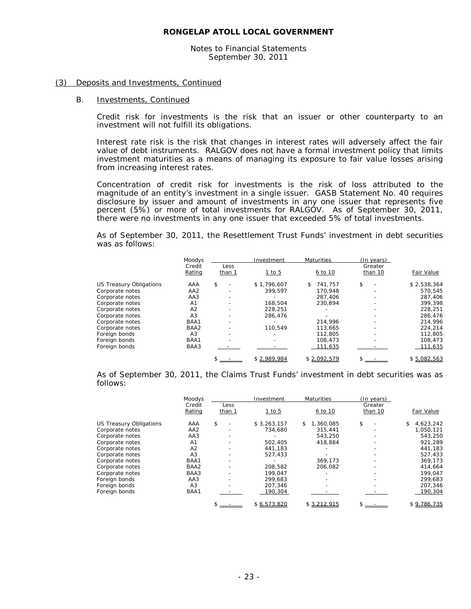Notes to Financial Statements September 30, 2011

#### (3) Deposits and Investments, Continued

#### B. Investments, Continued

Credit risk for investments is the risk that an issuer or other counterparty to an investment will not fulfill its obligations.

Interest rate risk is the risk that changes in interest rates will adversely affect the fair value of debt instruments. RALGOV does not have a formal investment policy that limits investment maturities as a means of managing its exposure to fair value losses arising from increasing interest rates.

Concentration of credit risk for investments is the risk of loss attributed to the magnitude of an entity's investment in a single issuer. GASB Statement No. 40 requires disclosure by issuer and amount of investments in any one issuer that represents five percent (5%) or more of total investments for RALGOV. As of September 30, 2011, there were no investments in any one issuer that exceeded 5% of total investments.

As of September 30, 2011, the Resettlement Trust Funds' investment in debt securities was as follows:

|                         | Moodys           |                | Investment               | <b>Maturities</b>        | (In years)         |             |
|-------------------------|------------------|----------------|--------------------------|--------------------------|--------------------|-------------|
|                         | Credit<br>Rating | Less<br>than 1 | $1$ to $5$               | 6 to 10                  | Greater<br>than 10 | Fair Value  |
| US Treasury Obligations | AAA              | \$             | \$1.796.607              | 741.757<br>\$            | \$                 | \$2,538,364 |
| Corporate notes         | AA <sub>2</sub>  |                | 399.597                  | 170.948                  |                    | 570.545     |
| Corporate notes         | AA3              |                |                          | 287.406                  |                    | 287.406     |
| Corporate notes         | A <sub>1</sub>   |                | 168.504                  | 230.894                  |                    | 399.398     |
| Corporate notes         | A2               |                | 228.251                  | $\overline{\phantom{0}}$ |                    | 228.251     |
| Corporate notes         | A <sub>3</sub>   |                | 286.476                  |                          |                    | 286.476     |
| Corporate notes         | BAA1             |                |                          | 214.996                  |                    | 214.996     |
| Corporate notes         | BAA2             |                | 110.549                  | 113.665                  |                    | 224.214     |
| Foreign bonds           | A3               |                |                          | 112.805                  |                    | 112,805     |
| Foreign bonds           | BAA1             |                | $\overline{\phantom{a}}$ | 108,473                  |                    | 108,473     |
| Foreign bonds           | BAA3             |                |                          | 111,635                  |                    | 111,635     |
|                         |                  |                | \$2.989.984              | \$2,092,579              |                    | \$5,082,563 |

As of September 30, 2011, the Claims Trust Funds' investment in debt securities was as follows:

|                         | Moodys           |                | Investment  | <b>Maturities</b>        | (In years)         |             |
|-------------------------|------------------|----------------|-------------|--------------------------|--------------------|-------------|
|                         | Credit<br>Rating | Less<br>than 1 | $1$ to $5$  | 6 to 10                  | Greater<br>than 10 | Fair Value  |
| US Treasury Obligations | AAA              | \$             | \$3,263,157 | 1,360,085<br>\$          | \$                 | 4,623,242   |
| Corporate notes         | AA <sub>2</sub>  |                | 734.680     | 315.441                  |                    | 1,050,121   |
| Corporate notes         | AA3              |                |             | 543,250                  |                    | 543,250     |
| Corporate notes         | A <sub>1</sub>   |                | 502,405     | 418.884                  |                    | 921,289     |
| Corporate notes         | A2               |                | 441,183     |                          |                    | 441,183     |
| Corporate notes         | A3               |                | 527,433     |                          |                    | 527,433     |
| Corporate notes         | BAA1             |                |             | 369.173                  |                    | 369,173     |
| Corporate notes         | BAA2             |                | 208,582     | 206.082                  |                    | 414,664     |
| Corporate notes         | BAA3             |                | 199.047     | $\overline{\phantom{0}}$ |                    | 199.047     |
| Foreign bonds           | AA3              |                | 299.683     |                          |                    | 299.683     |
| Foreign bonds           | A <sub>3</sub>   |                | 207.346     | $\overline{\phantom{0}}$ |                    | 207,346     |
| Foreign bonds           | BAA1             |                | 190,304     |                          |                    | 190,304     |
|                         |                  |                | \$6,573,820 | \$3.212.915              |                    | \$9,786,735 |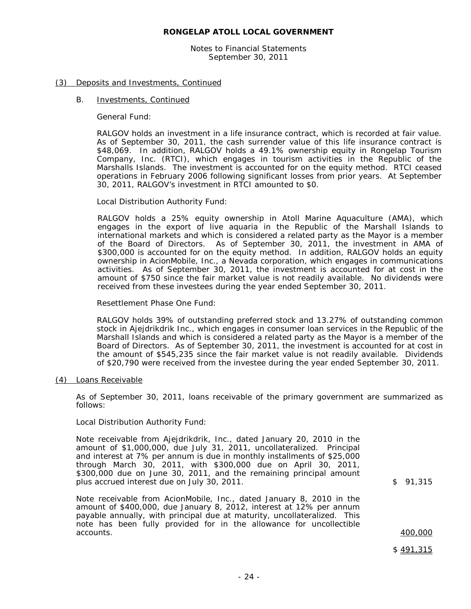Notes to Financial Statements September 30, 2011

#### (3) Deposits and Investments, Continued

#### B. Investments, Continued

General Fund:

RALGOV holds an investment in a life insurance contract, which is recorded at fair value. As of September 30, 2011, the cash surrender value of this life insurance contract is \$48,069. In addition, RALGOV holds a 49.1% ownership equity in Rongelap Tourism Company, Inc. (RTCI), which engages in tourism activities in the Republic of the Marshalls Islands. The investment is accounted for on the equity method. RTCI ceased operations in February 2006 following significant losses from prior years. At September 30, 2011, RALGOV's investment in RTCI amounted to \$0.

Local Distribution Authority Fund:

RALGOV holds a 25% equity ownership in Atoll Marine Aquaculture (AMA), which engages in the export of live aquaria in the Republic of the Marshall Islands to international markets and which is considered a related party as the Mayor is a member of the Board of Directors. As of September 30, 2011, the investment in AMA of \$300,000 is accounted for on the equity method. In addition, RALGOV holds an equity ownership in AcionMobile, Inc., a Nevada corporation, which engages in communications activities. As of September 30, 2011, the investment is accounted for at cost in the amount of \$750 since the fair market value is not readily available. No dividends were received from these investees during the year ended September 30, 2011.

Resettlement Phase One Fund:

RALGOV holds 39% of outstanding preferred stock and 13.27% of outstanding common stock in Ajejdrikdrik Inc., which engages in consumer loan services in the Republic of the Marshall Islands and which is considered a related party as the Mayor is a member of the Board of Directors. As of September 30, 2011, the investment is accounted for at cost in the amount of \$545,235 since the fair market value is not readily available. Dividends of \$20,790 were received from the investee during the year ended September 30, 2011.

(4) Loans Receivable

As of September 30, 2011, loans receivable of the primary government are summarized as follows:

Local Distribution Authority Fund:

Note receivable from Ajejdrikdrik, Inc., dated January 20, 2010 in the amount of \$1,000,000, due July 31, 2011, uncollateralized. Principal and interest at 7% per annum is due in monthly installments of \$25,000 through March 30, 2011, with \$300,000 due on April 30, 2011, \$300,000 due on June 30, 2011, and the remaining principal amount plus accrued interest due on July 30, 2011. **\$ 91,315** \$ 91,315

Note receivable from AcionMobile, Inc., dated January 8, 2010 in the amount of \$400,000, due January 8, 2012, interest at 12% per annum payable annually, with principal due at maturity, uncollateralized. This note has been fully provided for in the allowance for uncollectible accounts. 400,000

\$491,315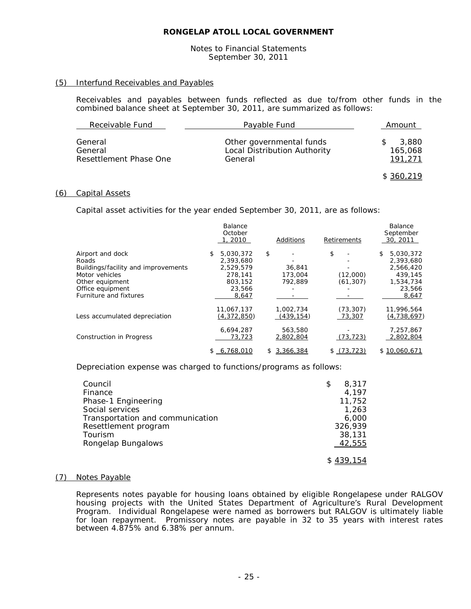#### Notes to Financial Statements September 30, 2011

#### (5) Interfund Receivables and Payables

Receivables and payables between funds reflected as due to/from other funds in the combined balance sheet at September 30, 2011, are summarized as follows:

| Receivable Fund<br>Payable Fund              |                                                                     | Amount                      |
|----------------------------------------------|---------------------------------------------------------------------|-----------------------------|
| General<br>General<br>Resettlement Phase One | Other governmental funds<br>Local Distribution Authority<br>General | 3,880<br>165,068<br>191,271 |
|                                              |                                                                     | \$360,219                   |

# (6) Capital Assets

Capital asset activities for the year ended September 30, 2011, are as follows:

|                                                                  | Balance<br>October<br>1, 2010             | Additions               | Retirements          | Balance<br>September<br>30, 2011          |
|------------------------------------------------------------------|-------------------------------------------|-------------------------|----------------------|-------------------------------------------|
| Airport and dock<br>Roads<br>Buildings/facility and improvements | 5,030,372<br>\$<br>2,393,680<br>2,529,579 | \$<br>36,841            | \$                   | 5,030,372<br>\$<br>2,393,680<br>2,566,420 |
| Motor vehicles<br>Other equipment                                | 278.141<br>803.152                        | 173,004<br>792.889      | (12,000)<br>(61.307) | 439,145<br>1,534,734                      |
| Office equipment<br>Furniture and fixtures                       | 23,566<br>8,647                           |                         |                      | 23,566<br>8,647                           |
| Less accumulated depreciation                                    | 11,067,137<br>(4,372,850)                 | 1.002.734<br>(439, 154) | (73, 307)<br>73,307  | 11,996,564<br>(4,738,697)                 |
| <b>Construction in Progress</b>                                  | 6,694,287<br>73,723                       | 563,580<br>2,802,804    | (73, 723)            | 7,257,867<br>2,802,804                    |
|                                                                  | 6.768.010                                 | 3.366.384<br>S          | (73,723)<br>S.       | \$10,060,671                              |

Depreciation expense was charged to functions/programs as follows:

| Council                          | 8,317<br>\$ |
|----------------------------------|-------------|
| Finance                          | 4,197       |
| Phase-1 Engineering              | 11,752      |
| Social services                  | 1,263       |
| Transportation and communication | 6,000       |
| Resettlement program             | 326,939     |
| Tourism                          | 38,131      |
| Rongelap Bungalows               | 42,555      |
|                                  | \$439.154   |

#### (7) Notes Payable

Represents notes payable for housing loans obtained by eligible Rongelapese under RALGOV housing projects with the United States Department of Agriculture's Rural Development Program. Individual Rongelapese were named as borrowers but RALGOV is ultimately liable for loan repayment. Promissory notes are payable in 32 to 35 years with interest rates between 4.875% and 6.38% per annum.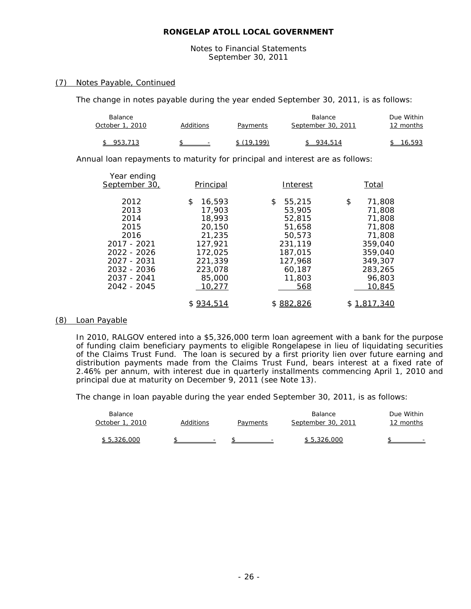Notes to Financial Statements September 30, 2011

#### (7) Notes Payable, Continued

The change in notes payable during the year ended September 30, 2011, is as follows:

| Balance<br>October 1, 2010 | Additions                | Payments   | <b>Balance</b><br>September 30, 2011 | Due Within<br>12 months |
|----------------------------|--------------------------|------------|--------------------------------------|-------------------------|
| 953.713                    | $\overline{\phantom{0}}$ | \$(19.199) | 934.514                              | 16.593                  |

Annual loan repayments to maturity for principal and interest are as follows:

| Year ending<br>September 30, | Principal    | Interest     | <u>Total</u> |
|------------------------------|--------------|--------------|--------------|
| 2012                         | 16,593<br>\$ | \$<br>55,215 | \$<br>71,808 |
| 2013                         | 17,903       | 53,905       | 71,808       |
| 2014                         | 18,993       | 52,815       | 71,808       |
| 2015                         | 20,150       | 51,658       | 71,808       |
| 2016                         | 21,235       | 50.573       | 71,808       |
| 2017 - 2021                  | 127.921      | 231.119      | 359,040      |
| $2022 - 2026$                | 172,025      | 187.015      | 359,040      |
| 2027 - 2031                  | 221,339      | 127.968      | 349.307      |
| 2032 - 2036                  | 223.078      | 60,187       | 283,265      |
| 2037 - 2041                  | 85,000       | 11,803       | 96,803       |
| $2042 - 2045$                | 10,277       | 568          | 10,845       |
|                              | \$934,514    | \$882,826    | \$1,817,340  |

#### (8) Loan Payable

In 2010, RALGOV entered into a \$5,326,000 term loan agreement with a bank for the purpose of funding claim beneficiary payments to eligible Rongelapese in lieu of liquidating securities of the Claims Trust Fund. The loan is secured by a first priority lien over future earning and distribution payments made from the Claims Trust Fund, bears interest at a fixed rate of 2.46% per annum, with interest due in quarterly installments commencing April 1, 2010 and principal due at maturity on December 9, 2011 (see Note 13).

The change in loan payable during the year ended September 30, 2011, is as follows:

| Balance<br>October 1, 2010 | Additions                | Payments | Balance<br>September 30, 2011 | Due Within<br>12 months |
|----------------------------|--------------------------|----------|-------------------------------|-------------------------|
|                            | $\overline{\phantom{0}}$ |          | റററ                           | -                       |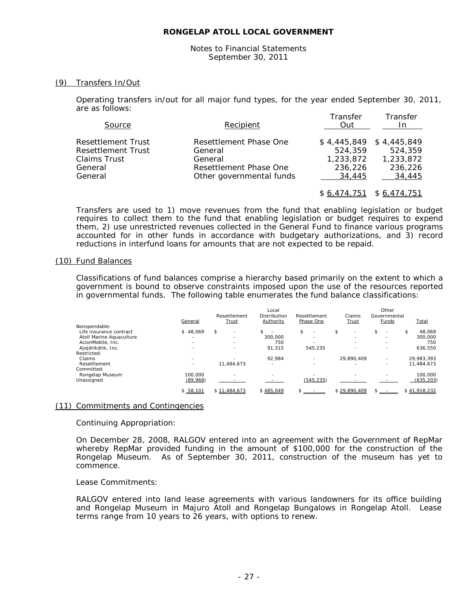#### Notes to Financial Statements September 30, 2011

#### (9) Transfers In/Out

Operating transfers in/out for all major fund types, for the year ended September 30, 2011, are as follows: Transfor Transfor

| Source             | Recipient                | 11d15d<br>Out | $11$ ali 51 <del>c</del> i |
|--------------------|--------------------------|---------------|----------------------------|
| Resettlement Trust | Resettlement Phase One   | \$4,445,849   | \$4,445,849                |
| Resettlement Trust | General                  | 524.359       | 524.359                    |
| Claims Trust       | General                  | 1,233,872     | 1,233,872                  |
| General            | Resettlement Phase One   | 236,226       | 236,226                    |
| General            | Other governmental funds | 34,445        | 34,445                     |
|                    |                          |               |                            |

#### \$ 6,474,751 \$ 6,474,751

Transfers are used to 1) move revenues from the fund that enabling legislation or budget requires to collect them to the fund that enabling legislation or budget requires to expend them, 2) use unrestricted revenues collected in the General Fund to finance various programs accounted for in other funds in accordance with budgetary authorizations, and 3) record reductions in interfund loans for amounts that are not expected to be repaid.

#### (10) Fund Balances

Classifications of fund balances comprise a hierarchy based primarily on the extent to which a government is bound to observe constraints imposed upon the use of the resources reported in governmental funds. The following table enumerates the fund balance classifications:

|                          | General  | Resettlement<br>Trust | Local<br><b>Distribution</b><br>Authority | Resettlement<br>Phase One | Claims<br>Trust | Other<br>Governmental<br>Funds | Total        |
|--------------------------|----------|-----------------------|-------------------------------------------|---------------------------|-----------------|--------------------------------|--------------|
| Nonspendable:            |          |                       |                                           |                           |                 |                                |              |
| Life insurance contract  | \$48.069 | \$<br>۰               | \$                                        | \$<br>$\sim$              | \$<br>۰         | \$<br>$\sim$                   | 48.069<br>\$ |
| Atoll Marine Aquaculture |          | ۰                     | 300,000                                   |                           |                 |                                | 300,000      |
| AcionMobile, Inc.        | ۰        | ۰                     | 750                                       |                           | ۰.              | ۰                              | 750          |
| Ajejdrikdrik, Inc.       | ۰        |                       | 91.315                                    | 545.235                   | ۰               | ۰                              | 636,550      |
| Restricted:              |          |                       |                                           |                           |                 |                                |              |
| Claims                   |          |                       | 92.984                                    |                           | 29.890.409      | ۰                              | 29,983,393   |
| Resettlement             |          | 11.484.673            |                                           | ۰                         | ۰               | ۰                              | 11.484.673   |
| Committed:               |          |                       |                                           |                           |                 |                                |              |
| Rongelap Museum          | 100,000  |                       | <b>1999</b>                               | ۰                         |                 | ۰                              | 100,000      |
| Unassigned               | (89,968) |                       |                                           | (545, 235)                |                 |                                | (635, 203)   |
|                          | \$58.101 | \$11,484,673          | \$485.049                                 | \$                        | \$29.890.409    |                                | \$41,918.232 |

#### (11) Commitments and Contingencies

#### Continuing Appropriation:

On December 28, 2008, RALGOV entered into an agreement with the Government of RepMar whereby RepMar provided funding in the amount of \$100,000 for the construction of the Rongelap Museum. As of September 30, 2011, construction of the museum has yet to commence.

#### Lease Commitments:

RALGOV entered into land lease agreements with various landowners for its office building and Rongelap Museum in Majuro Atoll and Rongelap Bungalows in Rongelap Atoll. Lease terms range from 10 years to 26 years, with options to renew.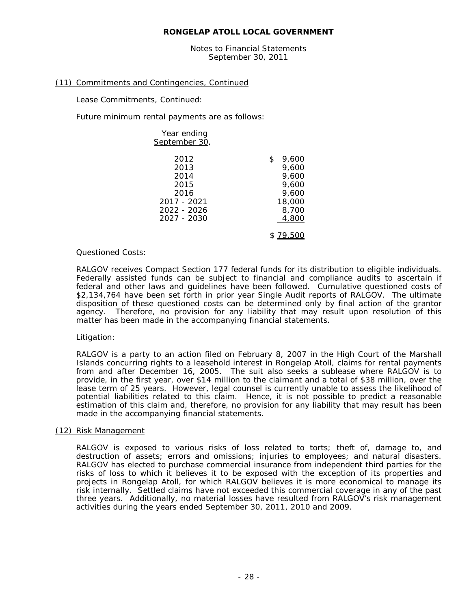#### Notes to Financial Statements September 30, 2011

# (11) Commitments and Contingencies, Continued

Lease Commitments, Continued:

Future minimum rental payments are as follows:

| Year ending<br>September 30,                                                      |                                                                             |
|-----------------------------------------------------------------------------------|-----------------------------------------------------------------------------|
| 2012<br>2013<br>2014<br>2015<br>2016<br>2017 - 2021<br>2022 - 2026<br>2027 - 2030 | 9,600<br>\$<br>9,600<br>9,600<br>9,600<br>9,600<br>18,000<br>8,700<br>4,800 |
|                                                                                   |                                                                             |

#### Questioned Costs:

RALGOV receives Compact Section 177 federal funds for its distribution to eligible individuals. Federally assisted funds can be subject to financial and compliance audits to ascertain if federal and other laws and guidelines have been followed. Cumulative questioned costs of \$2,134,764 have been set forth in prior year Single Audit reports of RALGOV. The ultimate disposition of these questioned costs can be determined only by final action of the grantor agency. Therefore, no provision for any liability that may result upon resolution of this matter has been made in the accompanying financial statements.

#### Litigation:

RALGOV is a party to an action filed on February 8, 2007 in the High Court of the Marshall Islands concurring rights to a leasehold interest in Rongelap Atoll, claims for rental payments from and after December 16, 2005. The suit also seeks a sublease where RALGOV is to provide, in the first year, over \$14 million to the claimant and a total of \$38 million, over the lease term of 25 years. However, legal counsel is currently unable to assess the likelihood of potential liabilities related to this claim. Hence, it is not possible to predict a reasonable estimation of this claim and, therefore, no provision for any liability that may result has been made in the accompanying financial statements.

#### (12) Risk Management

RALGOV is exposed to various risks of loss related to torts; theft of, damage to, and destruction of assets; errors and omissions; injuries to employees; and natural disasters. RALGOV has elected to purchase commercial insurance from independent third parties for the risks of loss to which it believes it to be exposed with the exception of its properties and projects in Rongelap Atoll, for which RALGOV believes it is more economical to manage its risk internally. Settled claims have not exceeded this commercial coverage in any of the past three years. Additionally, no material losses have resulted from RALGOV's risk management activities during the years ended September 30, 2011, 2010 and 2009.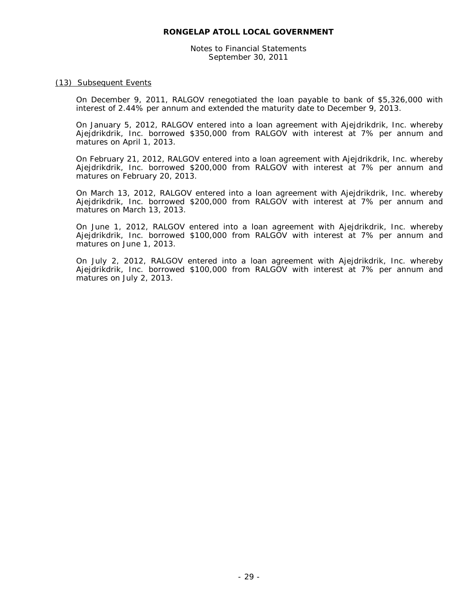Notes to Financial Statements September 30, 2011

#### (13) Subsequent Events

On December 9, 2011, RALGOV renegotiated the loan payable to bank of \$5,326,000 with interest of 2.44% per annum and extended the maturity date to December 9, 2013.

On January 5, 2012, RALGOV entered into a loan agreement with Ajejdrikdrik, Inc. whereby Ajejdrikdrik, Inc. borrowed \$350,000 from RALGOV with interest at 7% per annum and matures on April 1, 2013.

On February 21, 2012, RALGOV entered into a loan agreement with Ajejdrikdrik, Inc. whereby Ajejdrikdrik, Inc. borrowed \$200,000 from RALGOV with interest at 7% per annum and matures on February 20, 2013.

On March 13, 2012, RALGOV entered into a loan agreement with Ajejdrikdrik, Inc. whereby Ajejdrikdrik, Inc. borrowed \$200,000 from RALGOV with interest at 7% per annum and matures on March 13, 2013.

On June 1, 2012, RALGOV entered into a loan agreement with Ajejdrikdrik, Inc. whereby Ajejdrikdrik, Inc. borrowed \$100,000 from RALGOV with interest at 7% per annum and matures on June 1, 2013.

On July 2, 2012, RALGOV entered into a loan agreement with Ajejdrikdrik, Inc. whereby Ajejdrikdrik, Inc. borrowed \$100,000 from RALGOV with interest at 7% per annum and matures on July 2, 2013.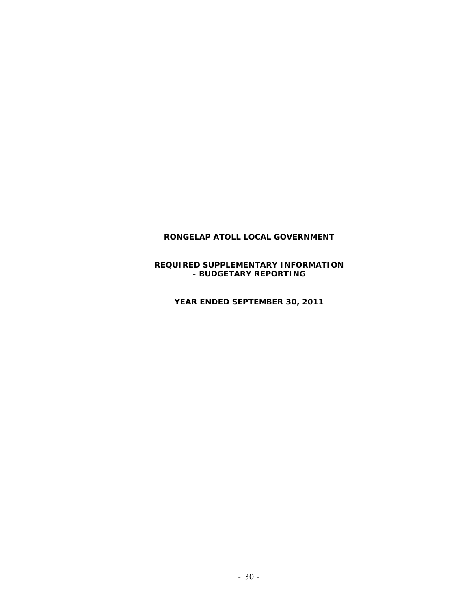# **REQUIRED SUPPLEMENTARY INFORMATION - BUDGETARY REPORTING**

**YEAR ENDED SEPTEMBER 30, 2011**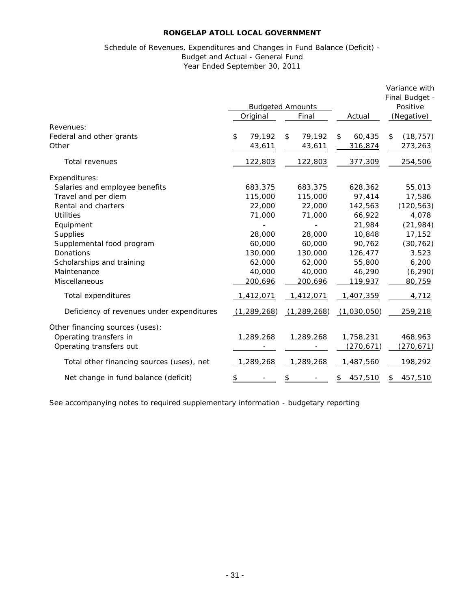#### Schedule of Revenues, Expenditures and Changes in Fund Balance (Deficit) - Budget and Actual - General Fund Year Ended September 30, 2011

|                                           |               |                         |               | Variance with<br>Final Budget - |
|-------------------------------------------|---------------|-------------------------|---------------|---------------------------------|
|                                           |               | <b>Budgeted Amounts</b> |               | Positive                        |
|                                           | Original      | Final                   | Actual        | (Negative)                      |
| Revenues:                                 |               |                         |               |                                 |
| Federal and other grants                  | \$<br>79,192  | \$<br>79,192            | \$<br>60,435  | \$<br>(18, 757)                 |
| Other                                     | 43,611        | 43,611                  | 316,874       | 273,263                         |
| Total revenues                            | 122,803       | 122,803                 | 377,309       | 254,506                         |
| Expenditures:                             |               |                         |               |                                 |
| Salaries and employee benefits            | 683,375       | 683,375                 | 628,362       | 55,013                          |
| Travel and per diem                       | 115,000       | 115,000                 | 97,414        | 17,586                          |
| Rental and charters                       | 22,000        | 22,000                  | 142,563       | (120, 563)                      |
| <b>Utilities</b>                          | 71,000        | 71,000                  | 66,922        | 4,078                           |
| Equipment                                 |               |                         | 21,984        | (21, 984)                       |
| Supplies                                  | 28,000        | 28,000                  | 10,848        | 17,152                          |
| Supplemental food program                 | 60,000        | 60,000                  | 90,762        | (30, 762)                       |
| Donations                                 | 130,000       | 130,000                 | 126,477       | 3,523                           |
| Scholarships and training                 | 62,000        | 62,000                  | 55,800        | 6,200                           |
| Maintenance                               | 40,000        | 40,000                  | 46,290        | (6, 290)                        |
| Miscellaneous                             | 200,696       | 200,696                 | 119,937       | 80,759                          |
| <b>Total expenditures</b>                 | 1,412,071     | 1,412,071               | 1,407,359     | 4,712                           |
| Deficiency of revenues under expenditures | (1, 289, 268) | (1, 289, 268)           | (1,030,050)   | 259,218                         |
| Other financing sources (uses):           |               |                         |               |                                 |
| Operating transfers in                    | 1,289,268     | 1,289,268               | 1,758,231     | 468,963                         |
| Operating transfers out                   |               |                         | (270, 671)    | (270, 671)                      |
| Total other financing sources (uses), net | 1,289,268     | 1,289,268               | 1,487,560     | 198,292                         |
| Net change in fund balance (deficit)      | \$            | \$                      | \$<br>457,510 | 457,510<br>\$                   |

See accompanying notes to required supplementary information - budgetary reporting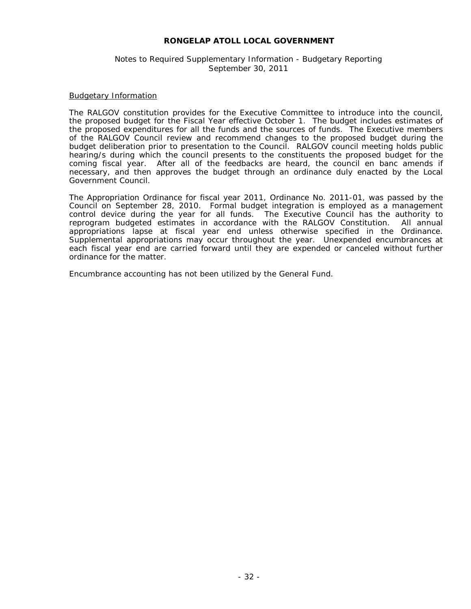#### Notes to Required Supplementary Information - Budgetary Reporting September 30, 2011

#### Budgetary Information

The RALGOV constitution provides for the Executive Committee to introduce into the council, the proposed budget for the Fiscal Year effective October 1. The budget includes estimates of the proposed expenditures for all the funds and the sources of funds. The Executive members of the RALGOV Council review and recommend changes to the proposed budget during the budget deliberation prior to presentation to the Council. RALGOV council meeting holds public hearing/s during which the council presents to the constituents the proposed budget for the coming fiscal year. After all of the feedbacks are heard, the council en banc amends if necessary, and then approves the budget through an ordinance duly enacted by the Local Government Council.

The Appropriation Ordinance for fiscal year 2011, Ordinance No. 2011-01, was passed by the Council on September 28, 2010. Formal budget integration is employed as a management control device during the year for all funds. The Executive Council has the authority to reprogram budgeted estimates in accordance with the RALGOV Constitution. All annual appropriations lapse at fiscal year end unless otherwise specified in the Ordinance. Supplemental appropriations may occur throughout the year. Unexpended encumbrances at each fiscal year end are carried forward until they are expended or canceled without further ordinance for the matter.

Encumbrance accounting has not been utilized by the General Fund.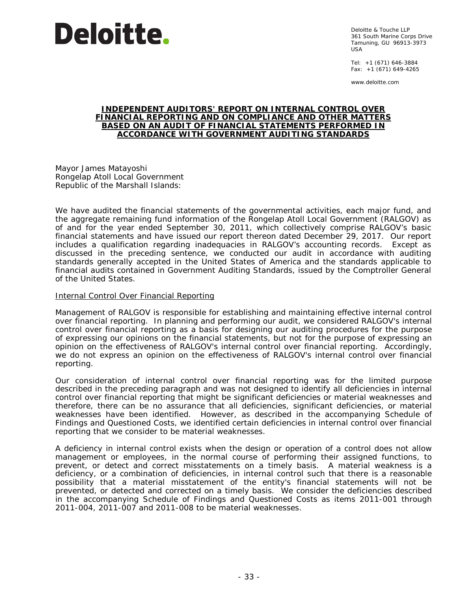

Deloitte & Touche LLP 361 South Marine Corps Drive Tamuning, GU 96913-3973 USA

Tel: +1 (671) 646-3884 Fax:  $+1$  (671) 649-4265

www.deloitte.com

#### **INDEPENDENT AUDITORS' REPORT ON INTERNAL CONTROL OVER FINANCIAL REPORTING AND ON COMPLIANCE AND OTHER MATTERS BASED ON AN AUDIT OF FINANCIAL STATEMENTS PERFORMED IN ACCORDANCE WITH** *GOVERNMENT AUDITING STANDARDS*

Mayor James Matayoshi Rongelap Atoll Local Government Republic of the Marshall Islands:

We have audited the financial statements of the governmental activities, each major fund, and the aggregate remaining fund information of the Rongelap Atoll Local Government (RALGOV) as of and for the year ended September 30, 2011, which collectively comprise RALGOV's basic financial statements and have issued our report thereon dated December 29, 2017. Our report includes a qualification regarding inadequacies in RALGOV's accounting records. Except as discussed in the preceding sentence, we conducted our audit in accordance with auditing standards generally accepted in the United States of America and the standards applicable to financial audits contained in *Government Auditing Standards*, issued by the Comptroller General of the United States.

#### Internal Control Over Financial Reporting

Management of RALGOV is responsible for establishing and maintaining effective internal control over financial reporting. In planning and performing our audit, we considered RALGOV's internal control over financial reporting as a basis for designing our auditing procedures for the purpose of expressing our opinions on the financial statements, but not for the purpose of expressing an opinion on the effectiveness of RALGOV's internal control over financial reporting. Accordingly, we do not express an opinion on the effectiveness of RALGOV's internal control over financial reporting.

Our consideration of internal control over financial reporting was for the limited purpose described in the preceding paragraph and was not designed to identify all deficiencies in internal control over financial reporting that might be significant deficiencies or material weaknesses and therefore, there can be no assurance that all deficiencies, significant deficiencies, or material weaknesses have been identified. However, as described in the accompanying Schedule of Findings and Questioned Costs, we identified certain deficiencies in internal control over financial reporting that we consider to be material weaknesses.

A *deficiency in internal control* exists when the design or operation of a control does not allow management or employees, in the normal course of performing their assigned functions, to prevent, or detect and correct misstatements on a timely basis. A *material weakness* is a deficiency, or a combination of deficiencies, in internal control such that there is a reasonable possibility that a material misstatement of the entity's financial statements will not be prevented, or detected and corrected on a timely basis. We consider the deficiencies described in the accompanying Schedule of Findings and Questioned Costs as items 2011-001 through 2011-004, 2011-007 and 2011-008 to be material weaknesses.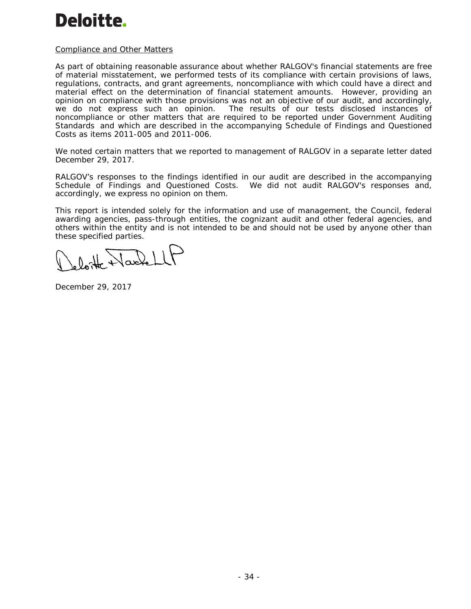# Deloitte.

#### Compliance and Other Matters

As part of obtaining reasonable assurance about whether RALGOV's financial statements are free of material misstatement, we performed tests of its compliance with certain provisions of laws, regulations, contracts, and grant agreements, noncompliance with which could have a direct and material effect on the determination of financial statement amounts. However, providing an opinion on compliance with those provisions was not an objective of our audit, and accordingly, we do not express such an opinion. The results of our tests disclosed instances of noncompliance or other matters that are required to be reported under *Government Auditing Standards* and which are described in the accompanying Schedule of Findings and Questioned Costs as items 2011-005 and 2011-006.

We noted certain matters that we reported to management of RALGOV in a separate letter dated December 29, 2017.

RALGOV's responses to the findings identified in our audit are described in the accompanying Schedule of Findings and Questioned Costs. We did not audit RALGOV's responses and, accordingly, we express no opinion on them.

This report is intended solely for the information and use of management, the Council, federal awarding agencies, pass-through entities, the cognizant audit and other federal agencies, and others within the entity and is not intended to be and should not be used by anyone other than these specified parties.

December 29, 2017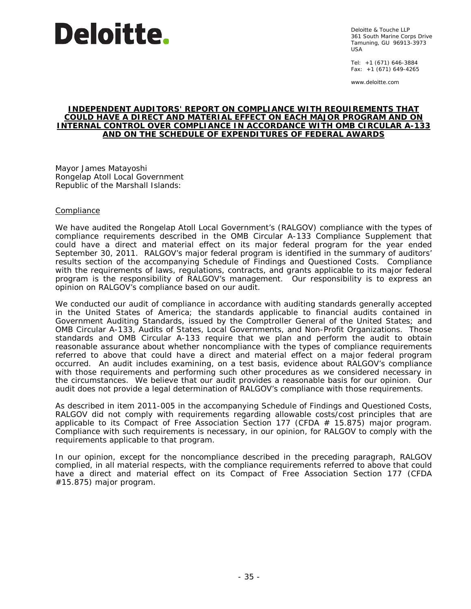

Deloitte & Touche LLP 361 South Marine Corps Drive Tamuning, GU 96913-3973 USA

Tel: +1 (671) 646-3884 Fax:  $+1$  (671) 649-4265

www.deloitte.com

#### **INDEPENDENT AUDITORS' REPORT ON COMPLIANCE WITH REQUIREMENTS THAT COULD HAVE A DIRECT AND MATERIAL EFFECT ON EACH MAJOR PROGRAM AND ON INTERNAL CONTROL OVER COMPLIANCE IN ACCORDANCE WITH OMB CIRCULAR A-133 AND ON THE SCHEDULE OF EXPENDITURES OF FEDERAL AWARDS**

Mayor James Matayoshi Rongelap Atoll Local Government Republic of the Marshall Islands:

#### Compliance

We have audited the Rongelap Atoll Local Government's (RALGOV) compliance with the types of compliance requirements described in the *OMB Circular A-133 Compliance Supplement* that could have a direct and material effect on its major federal program for the year ended September 30, 2011. RALGOV's major federal program is identified in the summary of auditors' results section of the accompanying Schedule of Findings and Questioned Costs. Compliance with the requirements of laws, regulations, contracts, and grants applicable to its major federal program is the responsibility of RALGOV's management. Our responsibility is to express an opinion on RALGOV's compliance based on our audit.

We conducted our audit of compliance in accordance with auditing standards generally accepted in the United States of America; the standards applicable to financial audits contained in *Government Auditing Standards*, issued by the Comptroller General of the United States; and OMB Circular A-133, *Audits of States, Local Governments, and Non-Profit Organizations*. Those standards and OMB Circular A-133 require that we plan and perform the audit to obtain reasonable assurance about whether noncompliance with the types of compliance requirements referred to above that could have a direct and material effect on a major federal program occurred. An audit includes examining, on a test basis, evidence about RALGOV's compliance with those requirements and performing such other procedures as we considered necessary in the circumstances. We believe that our audit provides a reasonable basis for our opinion. Our audit does not provide a legal determination of RALGOV's compliance with those requirements.

As described in item 2011-005 in the accompanying Schedule of Findings and Questioned Costs, RALGOV did not comply with requirements regarding allowable costs/cost principles that are applicable to its Compact of Free Association Section 177 (CFDA # 15.875) major program. Compliance with such requirements is necessary, in our opinion, for RALGOV to comply with the requirements applicable to that program.

In our opinion, except for the noncompliance described in the preceding paragraph, RALGOV complied, in all material respects, with the compliance requirements referred to above that could have a direct and material effect on its Compact of Free Association Section 177 (CFDA #15.875) major program.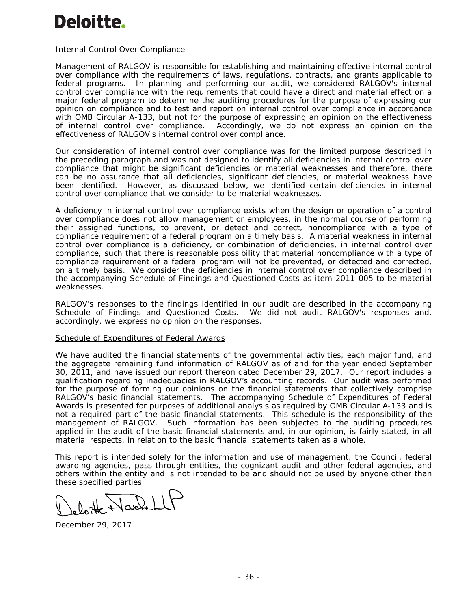# Deloitte.

# Internal Control Over Compliance

Management of RALGOV is responsible for establishing and maintaining effective internal control over compliance with the requirements of laws, regulations, contracts, and grants applicable to federal programs. In planning and performing our audit, we considered RALGOV's internal control over compliance with the requirements that could have a direct and material effect on a major federal program to determine the auditing procedures for the purpose of expressing our opinion on compliance and to test and report on internal control over compliance in accordance with OMB Circular A-133, but not for the purpose of expressing an opinion on the effectiveness of internal control over compliance. Accordingly, we do not express an opinion on the Accordingly, we do not express an opinion on the effectiveness of RALGOV's internal control over compliance.

Our consideration of internal control over compliance was for the limited purpose described in the preceding paragraph and was not designed to identify all deficiencies in internal control over compliance that might be significant deficiencies or material weaknesses and therefore, there can be no assurance that all deficiencies, significant deficiencies, or material weakness have been identified. However, as discussed below, we identified certain deficiencies in internal control over compliance that we consider to be material weaknesses.

A *deficiency in internal control over compliance* exists when the design or operation of a control over compliance does not allow management or employees, in the normal course of performing their assigned functions, to prevent, or detect and correct, noncompliance with a type of compliance requirement of a federal program on a timely basis. A *material weakness in internal control over compliance* is a deficiency, or combination of deficiencies, in internal control over compliance, such that there is reasonable possibility that material noncompliance with a type of compliance requirement of a federal program will not be prevented, or detected and corrected, on a timely basis. We consider the deficiencies in internal control over compliance described in the accompanying Schedule of Findings and Questioned Costs as item 2011-005 to be material weaknesses.

RALGOV's responses to the findings identified in our audit are described in the accompanying Schedule of Findings and Questioned Costs. We did not audit RALGOV's responses and, accordingly, we express no opinion on the responses.

#### Schedule of Expenditures of Federal Awards

We have audited the financial statements of the governmental activities, each major fund, and the aggregate remaining fund information of RALGOV as of and for the year ended September 30, 2011, and have issued our report thereon dated December 29, 2017. Our report includes a qualification regarding inadequacies in RALGOV's accounting records. Our audit was performed for the purpose of forming our opinions on the financial statements that collectively comprise RALGOV's basic financial statements. The accompanying Schedule of Expenditures of Federal Awards is presented for purposes of additional analysis as required by OMB Circular A-133 and is not a required part of the basic financial statements. This schedule is the responsibility of the management of RALGOV. Such information has been subjected to the auditing procedures applied in the audit of the basic financial statements and, in our opinion, is fairly stated, in all material respects, in relation to the basic financial statements taken as a whole.

This report is intended solely for the information and use of management, the Council, federal awarding agencies, pass-through entities, the cognizant audit and other federal agencies, and others within the entity and is not intended to be and should not be used by anyone other than these specified parties.

December 29, 2017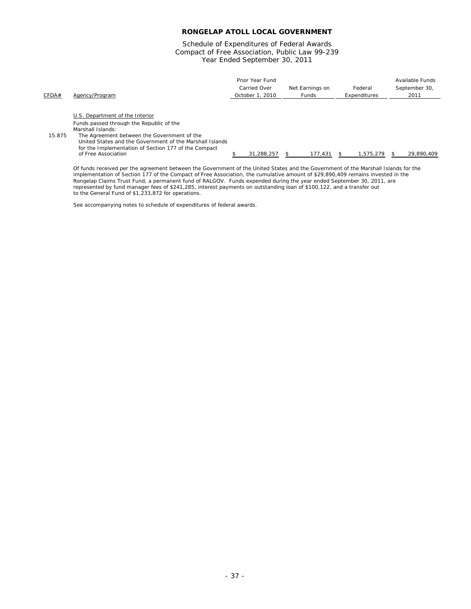Schedule of Expenditures of Federal Awards Year Ended September 30, 2011 Compact of Free Association, Public Law 99-239

| CFDA#  | Agency/Program                                                                                                                                                                                                                                                                             | Prior Year Fund<br>Carried Over<br>October 1, 2010 |            | Net Earnings on<br>Funds | Federal<br>Expenditures | Available Funds<br>September 30,<br>2011 |
|--------|--------------------------------------------------------------------------------------------------------------------------------------------------------------------------------------------------------------------------------------------------------------------------------------------|----------------------------------------------------|------------|--------------------------|-------------------------|------------------------------------------|
| 15.875 | U.S. Department of the Interior<br>Funds passed through the Republic of the<br>Marshall Islands:<br>The Agreement between the Government of the<br>United States and the Government of the Marshall Islands<br>for the Implementation of Section 177 of the Compact<br>of Free Association |                                                    | 31,288,257 | 177,431                  | 1,575,279               | 29,890,409                               |

Of funds received per the agreement between the Government of the United States and the Government of the Marshall Islands for the implementation of Section 177 of the Compact of Free Association, the cumulative amount of \$29,890,409 remains invested in the Rongelap Claims Trust Fund, a permanent fund of RALGOV. Funds expended during the year ended September 30, 2011, are represented by fund manager fees of \$241,285, interest payments on outstanding loan of \$100,122, and a transfer out to the General Fund of \$1,233,872 for operations.

See accompanying notes to schedule of expenditures of federal awards.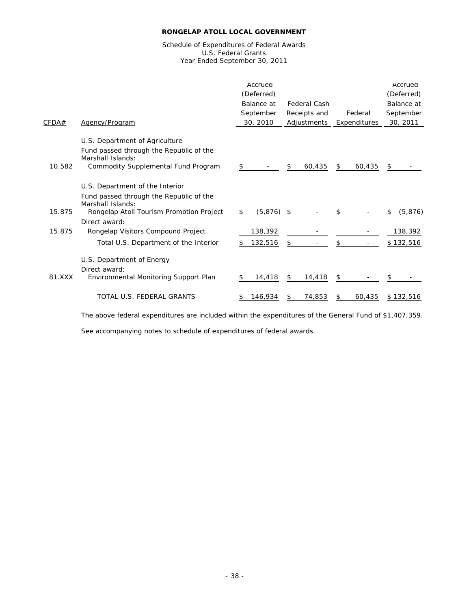#### Schedule of Expenditures of Federal Awards U.S. Federal Grants Year Ended September 30, 2011

|        |                                                                                                                                       | Accrued                  |                     |              | Accrued              |
|--------|---------------------------------------------------------------------------------------------------------------------------------------|--------------------------|---------------------|--------------|----------------------|
|        |                                                                                                                                       | (Deferred)               |                     |              | (Deferred)           |
|        |                                                                                                                                       | Balance at               | <b>Federal Cash</b> |              | Balance at           |
|        |                                                                                                                                       | September                | Receipts and        | Federal      | September            |
| CFDA#  | Agency/Program                                                                                                                        | 30, 2010                 | Adjustments         | Expenditures | 30, 2011             |
| 10.582 | U.S. Department of Agriculture<br>Fund passed through the Republic of the<br>Marshall Islands:<br>Commodity Supplemental Fund Program | \$                       | 60,435<br>\$        | \$<br>60,435 | \$                   |
|        | U.S. Department of the Interior<br>Fund passed through the Republic of the<br>Marshall Islands:                                       |                          |                     |              |                      |
| 15.875 | Rongelap Atoll Tourism Promotion Project<br>Direct award:                                                                             | $(5,876)$ \$<br>\$       |                     | \$           | (5,876)<br>\$        |
| 15.875 | Rongelap Visitors Compound Project<br>Total U.S. Department of the Interior                                                           | 138,392<br>132,516<br>\$ | \$                  | \$           | 138,392<br>\$132,516 |
| 81.XXX | U.S. Department of Energy<br>Direct award:<br>Environmental Monitoring Support Plan                                                   | 14,418<br>\$             | \$<br>14,418        | \$           |                      |
|        | TOTAL U.S. FEDERAL GRANTS                                                                                                             | 146,934                  | 74,853<br>\$        | 60,435<br>\$ | \$132,516            |

The above federal expenditures are included within the expenditures of the General Fund of \$1,407,359.

See accompanying notes to schedule of expenditures of federal awards.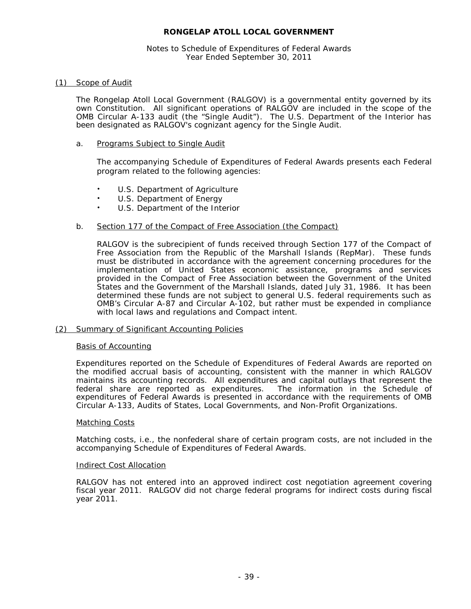#### Notes to Schedule of Expenditures of Federal Awards Year Ended September 30, 2011

#### (1) Scope of Audit

The Rongelap Atoll Local Government (RALGOV) is a governmental entity governed by its own Constitution. All significant operations of RALGOV are included in the scope of the OMB Circular A-133 audit (the "Single Audit"). The U.S. Department of the Interior has been designated as RALGOV's cognizant agency for the Single Audit.

#### a. Programs Subject to Single Audit

The accompanying Schedule of Expenditures of Federal Awards presents each Federal program related to the following agencies:

- U.S. Department of Agriculture
- U.S. Department of Energy
- U.S. Department of the Interior

#### b. Section 177 of the Compact of Free Association (the Compact)

RALGOV is the subrecipient of funds received through Section 177 of the Compact of Free Association from the Republic of the Marshall Islands (RepMar). These funds must be distributed in accordance with the agreement concerning procedures for the implementation of United States economic assistance, programs and services provided in the Compact of Free Association between the Government of the United States and the Government of the Marshall Islands, dated July 31, 1986. It has been determined these funds are not subject to general U.S. federal requirements such as OMB's Circular A-87 and Circular A-102, but rather must be expended in compliance with local laws and regulations and Compact intent.

#### (2) Summary of Significant Accounting Policies

#### Basis of Accounting

Expenditures reported on the Schedule of Expenditures of Federal Awards are reported on the modified accrual basis of accounting, consistent with the manner in which RALGOV maintains its accounting records. All expenditures and capital outlays that represent the federal share are reported as expenditures. The information in the Schedule of expenditures of Federal Awards is presented in accordance with the requirements of OMB Circular A-133, *Audits of States, Local Governments, and Non-Profit Organizations*.

#### Matching Costs

Matching costs, i.e., the nonfederal share of certain program costs, are not included in the accompanying Schedule of Expenditures of Federal Awards.

#### Indirect Cost Allocation

RALGOV has not entered into an approved indirect cost negotiation agreement covering fiscal year 2011. RALGOV did not charge federal programs for indirect costs during fiscal year 2011.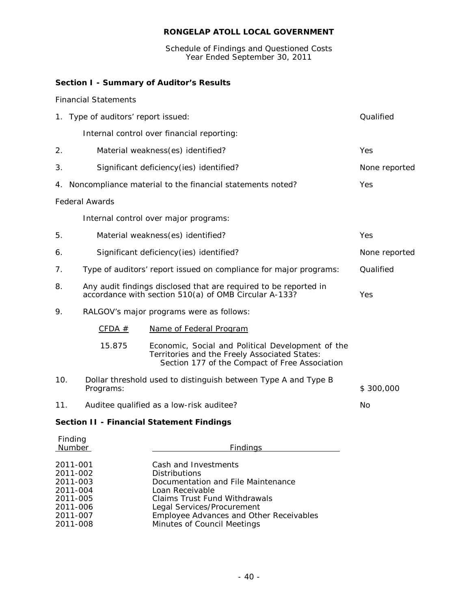Schedule of Findings and Questioned Costs Year Ended September 30, 2011

# **Section I - Summary of Auditor's Results**

# *Financial Statements*

|     | 1. Type of auditors' report issued:      | Qualified                                                                                                                                            |               |  |
|-----|------------------------------------------|------------------------------------------------------------------------------------------------------------------------------------------------------|---------------|--|
|     |                                          | Internal control over financial reporting:                                                                                                           |               |  |
| 2.  |                                          | Material weakness(es) identified?                                                                                                                    | Yes           |  |
| 3.  |                                          | Significant deficiency(ies) identified?                                                                                                              | None reported |  |
|     |                                          | 4. Noncompliance material to the financial statements noted?                                                                                         | Yes           |  |
|     | <b>Federal Awards</b>                    |                                                                                                                                                      |               |  |
|     |                                          | Internal control over major programs:                                                                                                                |               |  |
| 5.  |                                          | Material weakness(es) identified?                                                                                                                    | Yes           |  |
| 6.  |                                          | Significant deficiency(ies) identified?                                                                                                              |               |  |
| 7.  |                                          | Type of auditors' report issued on compliance for major programs:                                                                                    |               |  |
| 8.  |                                          | Any audit findings disclosed that are required to be reported in<br>accordance with section 510(a) of OMB Circular A-133?                            | Yes           |  |
| 9.  |                                          | RALGOV's major programs were as follows:                                                                                                             |               |  |
|     | CFDA#                                    | Name of Federal Program                                                                                                                              |               |  |
|     | 15.875                                   | Economic, Social and Political Development of the<br>Territories and the Freely Associated States:<br>Section 177 of the Compact of Free Association |               |  |
| 10. | Programs:                                | Dollar threshold used to distinguish between Type A and Type B                                                                                       | \$300,000     |  |
| 11. | Auditee qualified as a low-risk auditee? | No                                                                                                                                                   |               |  |

# **Section II - Financial Statement Findings**

| Finding<br>Number | <b>Findings</b>                         |
|-------------------|-----------------------------------------|
| 2011-001          | Cash and Investments                    |
| 2011-002          | <b>Distributions</b>                    |
| 2011-003          | Documentation and File Maintenance      |
| 2011-004          | Loan Receivable                         |
| 2011-005          | Claims Trust Fund Withdrawals           |
| 2011-006          | Legal Services/Procurement              |
| 2011-007          | Employee Advances and Other Receivables |
| 2011-008          | Minutes of Council Meetings             |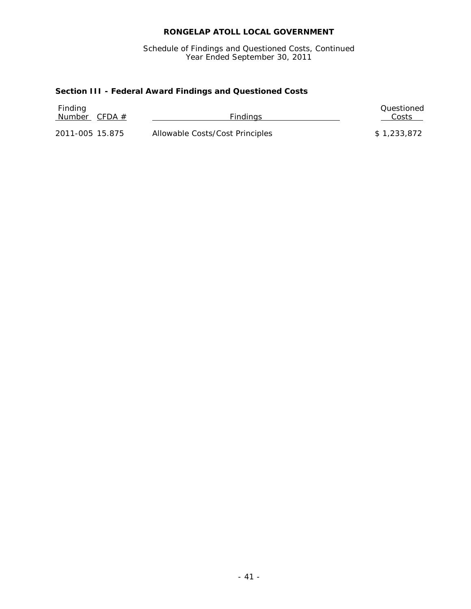Schedule of Findings and Questioned Costs, Continued Year Ended September 30, 2011

# **Section III - Federal Award Findings and Questioned Costs**

| Finding<br>Number | CFDA# | Findinas                        | Questioned<br>Costs |
|-------------------|-------|---------------------------------|---------------------|
| 2011-005 15.875   |       | Allowable Costs/Cost Principles | \$1,233,872         |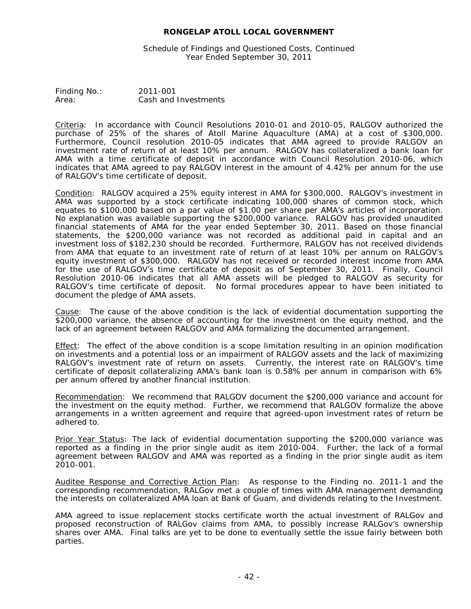Schedule of Findings and Questioned Costs, Continued Year Ended September 30, 2011

Finding No.: 2011-001 Area: Cash and Investments

Criteria: In accordance with Council Resolutions 2010-01 and 2010-05, RALGOV authorized the purchase of 25% of the shares of Atoll Marine Aquaculture (AMA) at a cost of \$300,000. Furthermore, Council resolution 2010-05 indicates that AMA agreed to provide RALGOV an investment rate of return of at least 10% per annum. RALGOV has collateralized a bank loan for AMA with a time certificate of deposit in accordance with Council Resolution 2010-06, which indicates that AMA agreed to pay RALGOV interest in the amount of 4.42% per annum for the use of RALGOV's time certificate of deposit.

Condition: RALGOV acquired a 25% equity interest in AMA for \$300,000. RALGOV's investment in AMA was supported by a stock certificate indicating 100,000 shares of common stock, which equates to \$100,000 based on a par value of \$1.00 per share per AMA's articles of incorporation. No explanation was available supporting the \$200,000 variance. RALGOV has provided unaudited financial statements of AMA for the year ended September 30, 2011. Based on those financial statements, the \$200,000 variance was not recorded as additional paid in capital and an investment loss of \$182,230 should be recorded. Furthermore, RALGOV has not received dividends from AMA that equate to an investment rate of return of at least 10% per annum on RALGOV's equity investment of \$300,000. RALGOV has not received or recorded interest income from AMA for the use of RALGOV's time certificate of deposit as of September 30, 2011. Finally, Council Resolution 2010-06 indicates that all AMA assets will be pledged to RALGOV as security for RALGOV's time certificate of deposit. No formal procedures appear to have been initiated to document the pledge of AMA assets.

Cause: The cause of the above condition is the lack of evidential documentation supporting the \$200,000 variance, the absence of accounting for the investment on the equity method, and the lack of an agreement between RALGOV and AMA formalizing the documented arrangement.

Effect: The effect of the above condition is a scope limitation resulting in an opinion modification on investments and a potential loss or an impairment of RALGOV assets and the lack of maximizing RALGOV's investment rate of return on assets. Currently, the interest rate on RALGOV's time certificate of deposit collateralizing AMA's bank loan is 0.58% per annum in comparison with 6% per annum offered by another financial institution.

Recommendation: We recommend that RALGOV document the \$200,000 variance and account for the investment on the equity method. Further, we recommend that RALGOV formalize the above arrangements in a written agreement and require that agreed-upon investment rates of return be adhered to.

Prior Year Status: The lack of evidential documentation supporting the \$200,000 variance was reported as a finding in the prior single audit as item 2010-004. Further, the lack of a formal agreement between RALGOV and AMA was reported as a finding in the prior single audit as item 2010-001.

Auditee Response and Corrective Action Plan: As response to the Finding no. 2011-1 and the corresponding recommendation, RALGov met a couple of times with AMA management demanding the interests on collateralized AMA loan at Bank of Guam, and dividends relating to the Investment.

AMA agreed to issue replacement stocks certificate worth the actual investment of RALGov and proposed reconstruction of RALGov claims from AMA, to possibly increase RALGov's ownership shares over AMA. Final talks are yet to be done to eventually settle the issue fairly between both parties.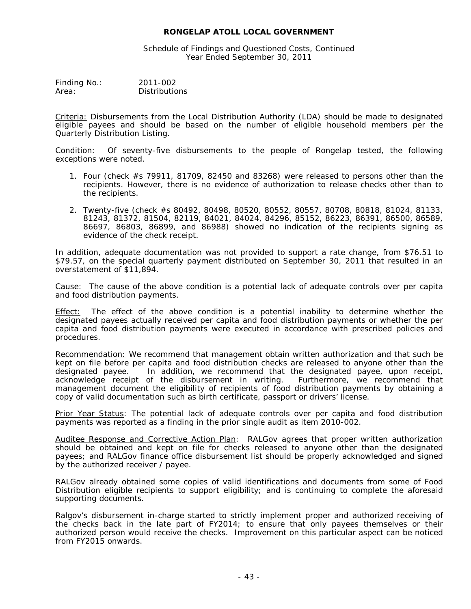Schedule of Findings and Questioned Costs, Continued Year Ended September 30, 2011

| Finding No.: | 2011-002             |
|--------------|----------------------|
| Area:        | <b>Distributions</b> |

Criteria: Disbursements from the Local Distribution Authority (LDA) should be made to designated eligible payees and should be based on the number of eligible household members per the Quarterly Distribution Listing.

Condition: Of seventy-five disbursements to the people of Rongelap tested, the following exceptions were noted.

- 1. Four (check #s 79911, 81709, 82450 and 83268) were released to persons other than the recipients. However, there is no evidence of authorization to release checks other than to the recipients.
- 2. Twenty-five (check #s 80492, 80498, 80520, 80552, 80557, 80708, 80818, 81024, 81133, 81243, 81372, 81504, 82119, 84021, 84024, 84296, 85152, 86223, 86391, 86500, 86589, 86697, 86803, 86899, and 86988) showed no indication of the recipients signing as evidence of the check receipt.

In addition, adequate documentation was not provided to support a rate change, from \$76.51 to \$79.57, on the special quarterly payment distributed on September 30, 2011 that resulted in an overstatement of \$11,894.

Cause: The cause of the above condition is a potential lack of adequate controls over per capita and food distribution payments.

**Effect:** The effect of the above condition is a potential inability to determine whether the designated payees actually received per capita and food distribution payments or whether the per capita and food distribution payments were executed in accordance with prescribed policies and procedures.

Recommendation: We recommend that management obtain written authorization and that such be kept on file before per capita and food distribution checks are released to anyone other than the designated payee. In addition, we recommend that the designated payee, upon receipt, designated payee in addition, we recommend that acknowledge receipt of the disbursement in writing. management document the eligibility of recipients of food distribution payments by obtaining a copy of valid documentation such as birth certificate, passport or drivers' license.

Prior Year Status: The potential lack of adequate controls over per capita and food distribution payments was reported as a finding in the prior single audit as item 2010-002.

Auditee Response and Corrective Action Plan: RALGov agrees that proper written authorization should be obtained and kept on file for checks released to anyone other than the designated payees; and RALGov finance office disbursement list should be properly acknowledged and signed by the authorized receiver / payee.

RALGov already obtained some copies of valid identifications and documents from some of Food Distribution eligible recipients to support eligibility; and is continuing to complete the aforesaid supporting documents.

Ralgov's disbursement in-charge started to strictly implement proper and authorized receiving of the checks back in the late part of FY2014; to ensure that only payees themselves or their authorized person would receive the checks. Improvement on this particular aspect can be noticed from FY2015 onwards.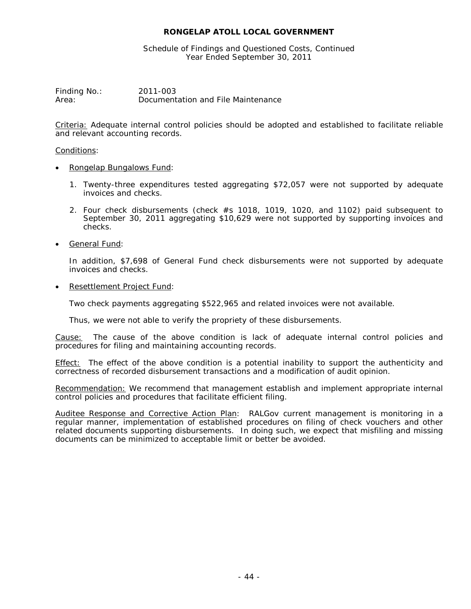Schedule of Findings and Questioned Costs, Continued Year Ended September 30, 2011

Finding No.: 2011-003 Area: Documentation and File Maintenance

Criteria: Adequate internal control policies should be adopted and established to facilitate reliable and relevant accounting records.

#### Conditions:

- Rongelap Bungalows Fund:
	- 1. Twenty-three expenditures tested aggregating \$72,057 were not supported by adequate invoices and checks.
	- 2. Four check disbursements (check #s 1018, 1019, 1020, and 1102) paid subsequent to September 30, 2011 aggregating \$10,629 were not supported by supporting invoices and checks.
- General Fund:

In addition, \$7,698 of General Fund check disbursements were not supported by adequate invoices and checks.

• Resettlement Project Fund:

Two check payments aggregating \$522,965 and related invoices were not available.

Thus, we were not able to verify the propriety of these disbursements.

Cause: The cause of the above condition is lack of adequate internal control policies and procedures for filing and maintaining accounting records.

Effect: The effect of the above condition is a potential inability to support the authenticity and correctness of recorded disbursement transactions and a modification of audit opinion.

Recommendation: We recommend that management establish and implement appropriate internal control policies and procedures that facilitate efficient filing.

Auditee Response and Corrective Action Plan: RALGov current management is monitoring in a regular manner, implementation of established procedures on filing of check vouchers and other related documents supporting disbursements. In doing such, we expect that misfiling and missing documents can be minimized to acceptable limit or better be avoided.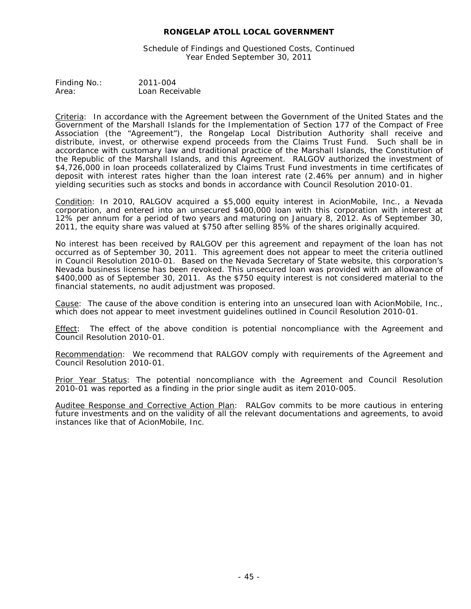Schedule of Findings and Questioned Costs, Continued Year Ended September 30, 2011

Finding No.: 2011-004 Area: Loan Receivable

Criteria: In accordance with the Agreement between the Government of the United States and the Government of the Marshall Islands for the Implementation of Section 177 of the Compact of Free Association (the "Agreement"), the Rongelap Local Distribution Authority shall receive and distribute, invest, or otherwise expend proceeds from the Claims Trust Fund. Such shall be in accordance with customary law and traditional practice of the Marshall Islands, the Constitution of the Republic of the Marshall Islands, and this Agreement. RALGOV authorized the investment of \$4,726,000 in loan proceeds collateralized by Claims Trust Fund investments in time certificates of deposit with interest rates higher than the loan interest rate (2.46% per annum) and in higher yielding securities such as stocks and bonds in accordance with Council Resolution 2010-01.

Condition: In 2010, RALGOV acquired a \$5,000 equity interest in AcionMobile, Inc., a Nevada corporation, and entered into an unsecured \$400,000 loan with this corporation with interest at 12% per annum for a period of two years and maturing on January 8, 2012. As of September 30, 2011, the equity share was valued at \$750 after selling 85% of the shares originally acquired.

No interest has been received by RALGOV per this agreement and repayment of the loan has not occurred as of September 30, 2011. This agreement does not appear to meet the criteria outlined in Council Resolution 2010-01. Based on the Nevada Secretary of State website, this corporation's Nevada business license has been revoked. This unsecured loan was provided with an allowance of \$400,000 as of September 30, 2011. As the \$750 equity interest is not considered material to the financial statements, no audit adjustment was proposed.

Cause: The cause of the above condition is entering into an unsecured loan with AcionMobile, Inc., which does not appear to meet investment guidelines outlined in Council Resolution 2010-01.

Effect: The effect of the above condition is potential noncompliance with the Agreement and Council Resolution 2010-01.

Recommendation: We recommend that RALGOV comply with requirements of the Agreement and Council Resolution 2010-01.

Prior Year Status: The potential noncompliance with the Agreement and Council Resolution 2010-01 was reported as a finding in the prior single audit as item 2010-005.

Auditee Response and Corrective Action Plan: RALGov commits to be more cautious in entering future investments and on the validity of all the relevant documentations and agreements, to avoid instances like that of AcionMobile, Inc.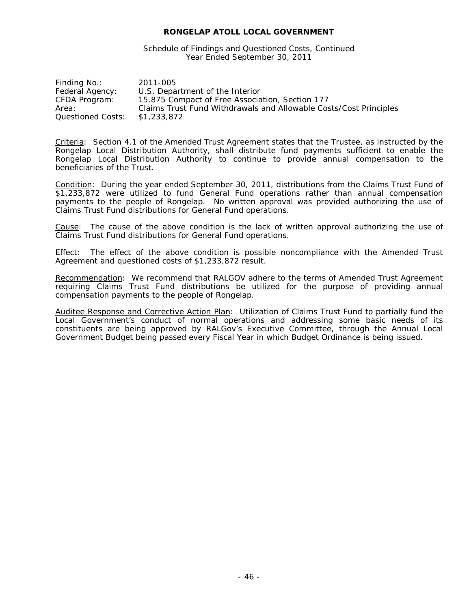Schedule of Findings and Questioned Costs, Continued Year Ended September 30, 2011

| Finding No.:      | 2011-005                                                          |
|-------------------|-------------------------------------------------------------------|
| Federal Agency:   | U.S. Department of the Interior                                   |
| CFDA Program:     | 15.875 Compact of Free Association, Section 177                   |
| Area:             | Claims Trust Fund Withdrawals and Allowable Costs/Cost Principles |
| Questioned Costs: | \$1,233,872                                                       |

Criteria: Section 4.1 of the Amended Trust Agreement states that the Trustee, as instructed by the Rongelap Local Distribution Authority, shall distribute fund payments sufficient to enable the Rongelap Local Distribution Authority to continue to provide annual compensation to the beneficiaries of the Trust.

Condition: During the year ended September 30, 2011, distributions from the Claims Trust Fund of \$1,233,872 were utilized to fund General Fund operations rather than annual compensation payments to the people of Rongelap. No written approval was provided authorizing the use of Claims Trust Fund distributions for General Fund operations.

Cause: The cause of the above condition is the lack of written approval authorizing the use of Claims Trust Fund distributions for General Fund operations.

**Effect:** The effect of the above condition is possible noncompliance with the Amended Trust Agreement and questioned costs of \$1,233,872 result.

Recommendation: We recommend that RALGOV adhere to the terms of Amended Trust Agreement requiring Claims Trust Fund distributions be utilized for the purpose of providing annual compensation payments to the people of Rongelap.

Auditee Response and Corrective Action Plan: Utilization of Claims Trust Fund to partially fund the Local Government's conduct of normal operations and addressing some basic needs of its constituents are being approved by RALGov's Executive Committee, through the Annual Local Government Budget being passed every Fiscal Year in which Budget Ordinance is being issued.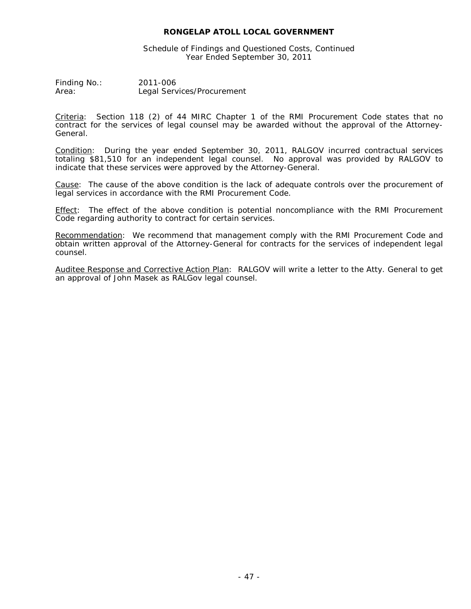Schedule of Findings and Questioned Costs, Continued Year Ended September 30, 2011

Finding No.: 2011-006 Area: Legal Services/Procurement

Criteria: Section 118 (2) of 44 MIRC Chapter 1 of the RMI Procurement Code states that no contract for the services of legal counsel may be awarded without the approval of the Attorney-General.

Condition: During the year ended September 30, 2011, RALGOV incurred contractual services totaling \$81,510 for an independent legal counsel. No approval was provided by RALGOV to indicate that these services were approved by the Attorney-General.

Cause: The cause of the above condition is the lack of adequate controls over the procurement of legal services in accordance with the RMI Procurement Code.

Effect: The effect of the above condition is potential noncompliance with the RMI Procurement Code regarding authority to contract for certain services.

Recommendation: We recommend that management comply with the RMI Procurement Code and obtain written approval of the Attorney-General for contracts for the services of independent legal counsel.

Auditee Response and Corrective Action Plan: RALGOV will write a letter to the Atty. General to get an approval of John Masek as RALGov legal counsel.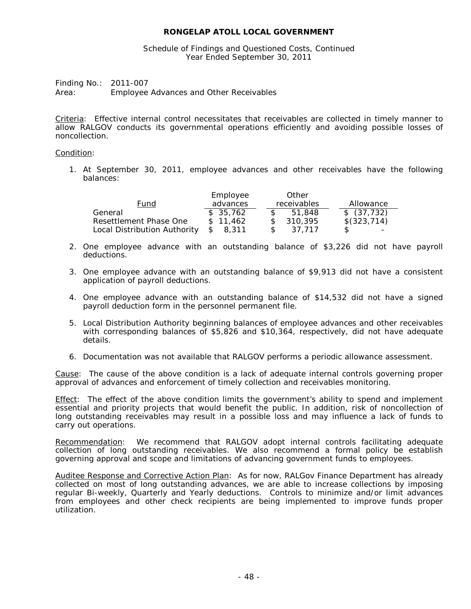Schedule of Findings and Questioned Costs, Continued Year Ended September 30, 2011

Finding No.: 2011-007 Area: Employee Advances and Other Receivables

Criteria: Effective internal control necessitates that receivables are collected in timely manner to allow RALGOV conducts its governmental operations efficiently and avoiding possible losses of noncollection.

#### Condition:

1. At September 30, 2011, employee advances and other receivables have the following balances:

|                              | Employee    | Other       |              |
|------------------------------|-------------|-------------|--------------|
| Fund                         | advances    | receivables | Allowance    |
| General                      | \$35.762    | 51.848      | \$ (37, 732) |
| Resettlement Phase One       | \$11.462    | 310,395     | \$(323, 714) |
| Local Distribution Authority | 8.311<br>S. | 37.717      | -            |

- 2. One employee advance with an outstanding balance of \$3,226 did not have payroll deductions.
- 3. One employee advance with an outstanding balance of \$9,913 did not have a consistent application of payroll deductions.
- 4. One employee advance with an outstanding balance of \$14,532 did not have a signed payroll deduction form in the personnel permanent file.
- 5. Local Distribution Authority beginning balances of employee advances and other receivables with corresponding balances of \$5,826 and \$10,364, respectively, did not have adequate details.
- 6. Documentation was not available that RALGOV performs a periodic allowance assessment.

Cause: The cause of the above condition is a lack of adequate internal controls governing proper approval of advances and enforcement of timely collection and receivables monitoring.

Effect: The effect of the above condition limits the government's ability to spend and implement essential and priority projects that would benefit the public. In addition, risk of noncollection of long outstanding receivables may result in a possible loss and may influence a lack of funds to carry out operations.

Recommendation: We recommend that RALGOV adopt internal controls facilitating adequate collection of long outstanding receivables. We also recommend a formal policy be establish governing approval and scope and limitations of advancing government funds to employees.

Auditee Response and Corrective Action Plan: As for now, RALGov Finance Department has already collected on most of long outstanding advances, we are able to increase collections by imposing regular Bi-weekly, Quarterly and Yearly deductions. Controls to minimize and/or limit advances from employees and other check recipients are being implemented to improve funds proper utilization.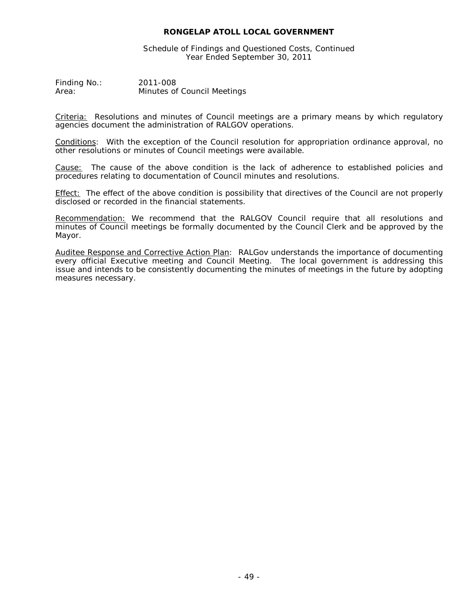Schedule of Findings and Questioned Costs, Continued Year Ended September 30, 2011

Finding No.: 2011-008 Area: Minutes of Council Meetings

Criteria: Resolutions and minutes of Council meetings are a primary means by which regulatory agencies document the administration of RALGOV operations.

Conditions: With the exception of the Council resolution for appropriation ordinance approval, no other resolutions or minutes of Council meetings were available.

Cause: The cause of the above condition is the lack of adherence to established policies and procedures relating to documentation of Council minutes and resolutions.

Effect: The effect of the above condition is possibility that directives of the Council are not properly disclosed or recorded in the financial statements.

Recommendation: We recommend that the RALGOV Council require that all resolutions and minutes of Council meetings be formally documented by the Council Clerk and be approved by the Mayor.

Auditee Response and Corrective Action Plan: RALGov understands the importance of documenting every official Executive meeting and Council Meeting. The local government is addressing this issue and intends to be consistently documenting the minutes of meetings in the future by adopting measures necessary.